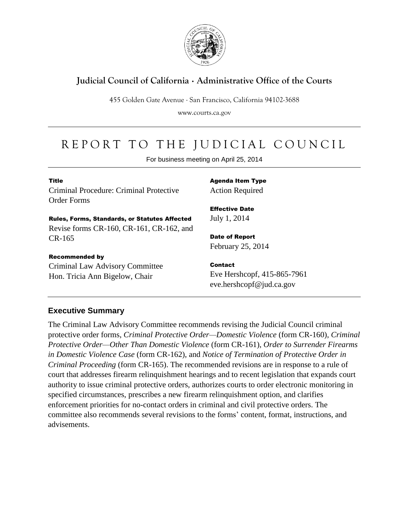

# **Judicial Council of California** . **Administrative Office of the Courts**

455 Golden Gate Avenue . San Francisco, California 94102-3688

www.courts.ca.gov

# REPORT TO THE JUDICIAL COUNCIL

For business meeting on April 25, 2014

#### Title

Criminal Procedure: Criminal Protective Order Forms

Rules, Forms, Standards, or Statutes Affected Revise forms CR-160, CR-161, CR-162, and CR-165

#### Recommended by

Criminal Law Advisory Committee Hon. Tricia Ann Bigelow, Chair

Agenda Item Type Action Required

Effective Date July 1, 2014

Date of Report February 25, 2014

Contact Eve Hershcopf, 415-865-7961 eve.hershcopf@jud.ca.gov

### **Executive Summary**

The Criminal Law Advisory Committee recommends revising the Judicial Council criminal protective order forms, *Criminal Protective Order—Domestic Violence* (form CR-160), *Criminal Protective Order—Other Than Domestic Violence* (form CR-161), *Order to Surrender Firearms in Domestic Violence Case* (form CR-162), and *Notice of Termination of Protective Order in Criminal Proceeding* (form CR-165). The recommended revisions are in response to a rule of court that addresses firearm relinquishment hearings and to recent legislation that expands court authority to issue criminal protective orders, authorizes courts to order electronic monitoring in specified circumstances, prescribes a new firearm relinquishment option, and clarifies enforcement priorities for no-contact orders in criminal and civil protective orders. The committee also recommends several revisions to the forms' content, format, instructions, and advisements.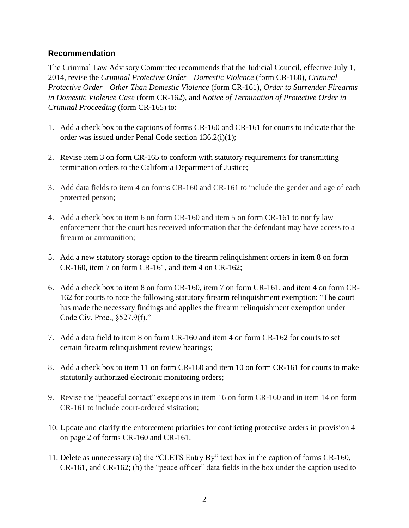#### **Recommendation**

The Criminal Law Advisory Committee recommends that the Judicial Council, effective July 1, 2014, revise the *Criminal Protective Order—Domestic Violence* (form CR-160), *Criminal Protective Order—Other Than Domestic Violence* (form CR-161), *Order to Surrender Firearms in Domestic Violence Case* (form CR-162), and *Notice of Termination of Protective Order in Criminal Proceeding* (form CR-165) to:

- 1. Add a check box to the captions of forms CR-160 and CR-161 for courts to indicate that the order was issued under Penal Code section 136.2(i)(1);
- 2. Revise item 3 on form CR-165 to conform with statutory requirements for transmitting termination orders to the California Department of Justice;
- 3. Add data fields to item 4 on forms CR-160 and CR-161 to include the gender and age of each protected person;
- 4. Add a check box to item 6 on form CR-160 and item 5 on form CR-161 to notify law enforcement that the court has received information that the defendant may have access to a firearm or ammunition;
- 5. Add a new statutory storage option to the firearm relinquishment orders in item 8 on form CR-160, item 7 on form CR-161, and item 4 on CR-162;
- 6. Add a check box to item 8 on form CR-160, item 7 on form CR-161, and item 4 on form CR-162 for courts to note the following statutory firearm relinquishment exemption: "The court has made the necessary findings and applies the firearm relinquishment exemption under Code Civ. Proc., §527.9(f)."
- 7. Add a data field to item 8 on form CR-160 and item 4 on form CR-162 for courts to set certain firearm relinquishment review hearings;
- 8. Add a check box to item 11 on form CR-160 and item 10 on form CR-161 for courts to make statutorily authorized electronic monitoring orders;
- 9. Revise the "peaceful contact" exceptions in item 16 on form CR-160 and in item 14 on form CR-161 to include court-ordered visitation;
- 10. Update and clarify the enforcement priorities for conflicting protective orders in provision 4 on page 2 of forms CR-160 and CR-161.
- 11. Delete as unnecessary (a) the "CLETS Entry By" text box in the caption of forms CR-160, CR-161, and CR-162; (b) the "peace officer" data fields in the box under the caption used to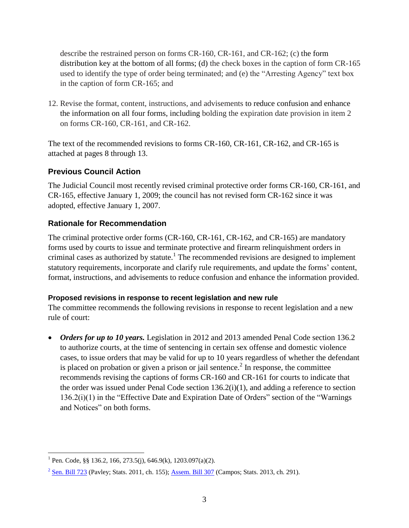describe the restrained person on forms CR-160, CR-161, and CR-162; (c) the form distribution key at the bottom of all forms; (d) the check boxes in the caption of form CR-165 used to identify the type of order being terminated; and (e) the "Arresting Agency" text box in the caption of form CR-165; and

12. Revise the format, content, instructions, and advisements to reduce confusion and enhance the information on all four forms, including bolding the expiration date provision in item 2 on forms CR-160, CR-161, and CR-162.

The text of the recommended revisions to forms CR-160, CR-161, CR-162, and CR-165 is attached at pages 8 through 13.

### **Previous Council Action**

The Judicial Council most recently revised criminal protective order forms CR-160, CR-161, and CR-165, effective January 1, 2009; the council has not revised form CR-162 since it was adopted, effective January 1, 2007.

### **Rationale for Recommendation**

The criminal protective order forms (CR-160, CR-161, CR-162, and CR-165) are mandatory forms used by courts to issue and terminate protective and firearm relinquishment orders in criminal cases as authorized by statute.<sup>1</sup> The recommended revisions are designed to implement statutory requirements, incorporate and clarify rule requirements, and update the forms' content, format, instructions, and advisements to reduce confusion and enhance the information provided.

#### **Proposed revisions in response to recent legislation and new rule**

The committee recommends the following revisions in response to recent legislation and a new rule of court:

• *Orders for up to 10 years.* Legislation in 2012 and 2013 amended Penal Code section 136.2 to authorize courts, at the time of sentencing in certain sex offense and domestic violence cases, to issue orders that may be valid for up to 10 years regardless of whether the defendant is placed on probation or given a prison or jail sentence.<sup>2</sup> In response, the committee recommends revising the captions of forms CR-160 and CR-161 for courts to indicate that the order was issued under Penal Code section 136.2(i)(1), and adding a reference to section 136.2(i)(1) in the "Effective Date and Expiration Date of Orders" section of the "Warnings and Notices" on both forms.

 $\overline{a}$ <sup>1</sup> Pen. Code, §§ 136.2, 166, 273.5(j), 646.9(k), 1203.097(a)(2).

 $2^{2}$  Sen. [Bill 723](http://leginfo.legislature.ca.gov/faces/billNavClient.xhtml?bill_id=201120120SB723&search_keywords=) (Pavley; Stats. 2011, ch. 155); Assem. [Bill 307](http://leginfo.legislature.ca.gov/faces/billNavClient.xhtml?bill_id=201320140AB307&search_keywords=) (Campos; Stats. 2013, ch. 291).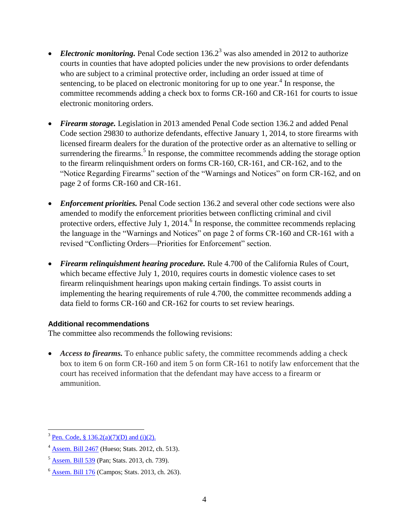- *Electronic monitoring*. Penal Code section 136.2<sup>3</sup> was also amended in 2012 to authorize courts in counties that have adopted policies under the new provisions to order defendants who are subject to a criminal protective order, including an order issued at time of sentencing, to be placed on electronic monitoring for up to one year.<sup>4</sup> In response, the committee recommends adding a check box to forms CR-160 and CR-161 for courts to issue electronic monitoring orders.
- *Firearm storage.* Legislation in 2013 amended Penal Code section 136.2 and added Penal Code section 29830 to authorize defendants, effective January 1, 2014, to store firearms with licensed firearm dealers for the duration of the protective order as an alternative to selling or surrendering the firearms.<sup>5</sup> In response, the committee recommends adding the storage option to the firearm relinquishment orders on forms CR-160, CR-161, and CR-162, and to the "Notice Regarding Firearms" section of the "Warnings and Notices" on form CR-162, and on page 2 of forms CR-160 and CR-161.
- *Enforcement priorities.* Penal Code section 136.2 and several other code sections were also amended to modify the enforcement priorities between conflicting criminal and civil protective orders, effective July 1, 2014. $<sup>6</sup>$  In response, the committee recommends replacing</sup> the language in the "Warnings and Notices" on page 2 of forms CR-160 and CR-161 with a revised "Conflicting Orders—Priorities for Enforcement" section.
- *Firearm relinquishment hearing procedure.* Rule 4.700 of the California Rules of Court, which became effective July 1, 2010, requires courts in domestic violence cases to set firearm relinquishment hearings upon making certain findings. To assist courts in implementing the hearing requirements of rule 4.700, the committee recommends adding a data field to forms CR-160 and CR-162 for courts to set review hearings.

#### **Additional recommendations**

The committee also recommends the following revisions:

• *Access to firearms*. To enhance public safety, the committee recommends adding a check box to item 6 on form CR-160 and item 5 on form CR-161 to notify law enforcement that the court has received information that the defendant may have access to a firearm or ammunition.

 $3$  Pen. Code, § [136.2\(a\)\(7\)\(D\) and \(i\)\(2\).](http://leginfo.legislature.ca.gov/faces/codes_displayText.xhtml?lawCode=PEN&division=&title=7.&part=1.&chapter=6.&article=)

<sup>4</sup> Assem. [Bill 2467](http://leginfo.legislature.ca.gov/faces/billNavClient.xhtml?bill_id=201120120AB2467&search_keywords=) (Hueso; Stats. 2012, ch. 513).

<sup>5</sup> Assem. [Bill 539](http://leginfo.legislature.ca.gov/faces/billNavClient.xhtml?bill_id=201320140AB539&search_keywords=) (Pan; Stats. 2013, ch. 739).

 $6$  Assem. [Bill 176](http://leginfo.legislature.ca.gov/faces/billNavClient.xhtml?bill_id=201320140AB176&search_keywords=) (Campos; Stats. 2013, ch. 263).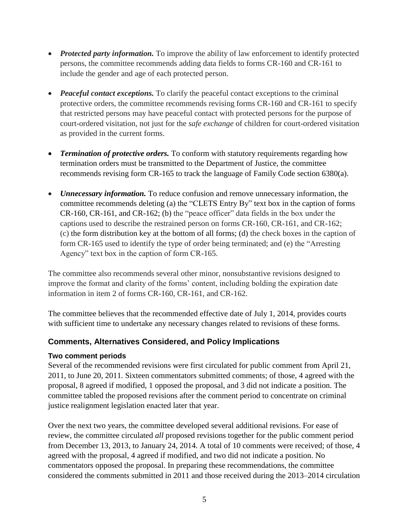- *Protected party information*. To improve the ability of law enforcement to identify protected persons, the committee recommends adding data fields to forms CR-160 and CR-161 to include the gender and age of each protected person.
- *Peaceful contact exceptions.* To clarify the peaceful contact exceptions to the criminal protective orders, the committee recommends revising forms CR-160 and CR-161 to specify that restricted persons may have peaceful contact with protected persons for the purpose of court-ordered visitation, not just for the *safe exchange* of children for court-ordered visitation as provided in the current forms.
- *Termination of protective orders.* To conform with statutory requirements regarding how termination orders must be transmitted to the Department of Justice, the committee recommends revising form CR-165 to track the language of Family Code section 6380(a).
- *Unnecessary information.* To reduce confusion and remove unnecessary information, the committee recommends deleting (a) the "CLETS Entry By" text box in the caption of forms CR-160, CR-161, and CR-162; (b) the "peace officer" data fields in the box under the captions used to describe the restrained person on forms CR-160, CR-161, and CR-162; (c) the form distribution key at the bottom of all forms; (d) the check boxes in the caption of form CR-165 used to identify the type of order being terminated; and (e) the "Arresting Agency" text box in the caption of form CR-165.

The committee also recommends several other minor, nonsubstantive revisions designed to improve the format and clarity of the forms' content, including bolding the expiration date information in item 2 of forms CR-160, CR-161, and CR-162.

The committee believes that the recommended effective date of July 1, 2014, provides courts with sufficient time to undertake any necessary changes related to revisions of these forms.

### **Comments, Alternatives Considered, and Policy Implications**

#### **Two comment periods**

Several of the recommended revisions were first circulated for public comment from April 21, 2011, to June 20, 2011. Sixteen commentators submitted comments; of those, 4 agreed with the proposal, 8 agreed if modified, 1 opposed the proposal, and 3 did not indicate a position. The committee tabled the proposed revisions after the comment period to concentrate on criminal justice realignment legislation enacted later that year.

Over the next two years, the committee developed several additional revisions. For ease of review, the committee circulated *all* proposed revisions together for the public comment period from December 13, 2013, to January 24, 2014. A total of 10 comments were received; of those, 4 agreed with the proposal, 4 agreed if modified, and two did not indicate a position. No commentators opposed the proposal. In preparing these recommendations, the committee considered the comments submitted in 2011 and those received during the 2013–2014 circulation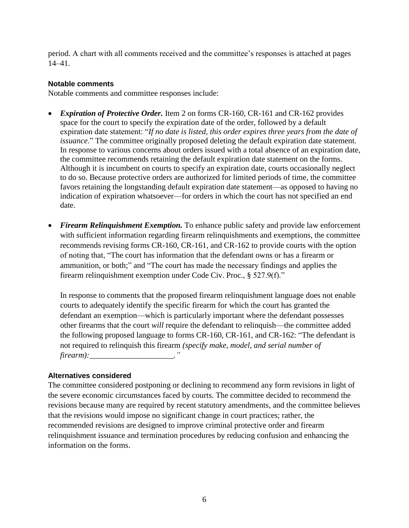period. A chart with all comments received and the committee's responses is attached at pages 14–41.

#### **Notable comments**

Notable comments and committee responses include:

- *Expiration of Protective Order.* Item 2 on forms CR-160, CR-161 and CR-162 provides space for the court to specify the expiration date of the order, followed by a default expiration date statement: "*If no date is listed, this order expires three years from the date of issuance.*" The committee originally proposed deleting the default expiration date statement. In response to various concerns about orders issued with a total absence of an expiration date, the committee recommends retaining the default expiration date statement on the forms. Although it is incumbent on courts to specify an expiration date, courts occasionally neglect to do so. Because protective orders are authorized for limited periods of time, the committee favors retaining the longstanding default expiration date statement—as opposed to having no indication of expiration whatsoever—for orders in which the court has not specified an end date.
- *Firearm Relinquishment Exemption.* To enhance public safety and provide law enforcement with sufficient information regarding firearm relinquishments and exemptions, the committee recommends revising forms CR-160, CR-161, and CR-162 to provide courts with the option of noting that, "The court has information that the defendant owns or has a firearm or ammunition, or both;" and "The court has made the necessary findings and applies the firearm relinquishment exemption under Code Civ. Proc., § 527.9(f)."

In response to comments that the proposed firearm relinquishment language does not enable courts to adequately identify the specific firearm for which the court has granted the defendant an exemption—which is particularly important where the defendant possesses other firearms that the court *will* require the defendant to relinquish—the committee added the following proposed language to forms CR-160, CR-161, and CR-162: "The defendant is not required to relinquish this firearm *(specify make, model, and serial number of firearm):\_\_\_\_\_\_\_\_\_\_\_\_\_\_\_\_\_\_\_\_\_."*

#### **Alternatives considered**

The committee considered postponing or declining to recommend any form revisions in light of the severe economic circumstances faced by courts. The committee decided to recommend the revisions because many are required by recent statutory amendments, and the committee believes that the revisions would impose no significant change in court practices; rather, the recommended revisions are designed to improve criminal protective order and firearm relinquishment issuance and termination procedures by reducing confusion and enhancing the information on the forms.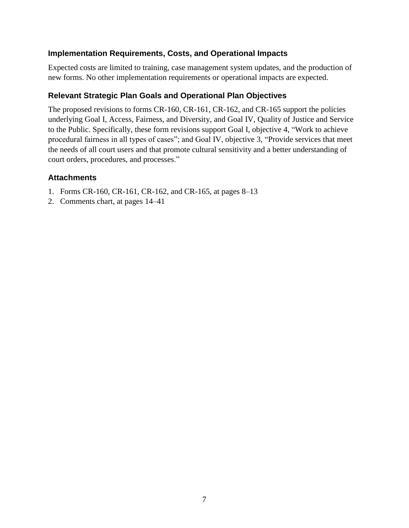### **Implementation Requirements, Costs, and Operational Impacts**

Expected costs are limited to training, case management system updates, and the production of new forms. No other implementation requirements or operational impacts are expected.

### **Relevant Strategic Plan Goals and Operational Plan Objectives**

The proposed revisions to forms CR-160, CR-161, CR-162, and CR-165 support the policies underlying Goal I, Access, Fairness, and Diversity, and Goal IV, Quality of Justice and Service to the Public. Specifically, these form revisions support Goal I, objective 4, "Work to achieve procedural fairness in all types of cases"; and Goal IV, objective 3, "Provide services that meet the needs of all court users and that promote cultural sensitivity and a better understanding of court orders, procedures, and processes."

#### **Attachments**

- 1. Forms CR-160, CR-161, CR-162, and CR-165, at pages 8–13
- 2. Comments chart, at pages 14–41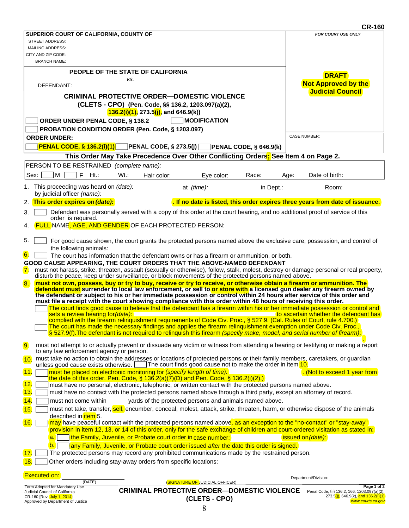|                                                                        |                                                                                                                                                                                                                                                 |                               | <b>CR-160</b>                                                                 |
|------------------------------------------------------------------------|-------------------------------------------------------------------------------------------------------------------------------------------------------------------------------------------------------------------------------------------------|-------------------------------|-------------------------------------------------------------------------------|
| SUPERIOR COURT OF CALIFORNIA, COUNTY OF                                |                                                                                                                                                                                                                                                 |                               | <b>FOR COURT USE ONLY</b>                                                     |
| <b>STREET ADDRESS:</b>                                                 |                                                                                                                                                                                                                                                 |                               |                                                                               |
| <b>MAILING ADDRESS:</b><br>CITY AND ZIP CODE:                          |                                                                                                                                                                                                                                                 |                               |                                                                               |
| <b>BRANCH NAME:</b>                                                    |                                                                                                                                                                                                                                                 |                               |                                                                               |
|                                                                        |                                                                                                                                                                                                                                                 |                               |                                                                               |
| PEOPLE OF THE STATE OF CALIFORNIA                                      | VS.                                                                                                                                                                                                                                             |                               | <b>DRAFT</b>                                                                  |
| DEFENDANT:                                                             |                                                                                                                                                                                                                                                 |                               | <b>Not Approved by the</b>                                                    |
|                                                                        |                                                                                                                                                                                                                                                 |                               | <b>Judicial Council</b>                                                       |
|                                                                        | <b>CRIMINAL PROTECTIVE ORDER-DOMESTIC VIOLENCE</b>                                                                                                                                                                                              |                               |                                                                               |
|                                                                        | (CLETS - CPO) (Pen. Code, §§ 136.2, 1203.097(a)(2),<br>$136.2(i)(1)$ , 273.5(j), and 646.9(k))                                                                                                                                                  |                               |                                                                               |
|                                                                        |                                                                                                                                                                                                                                                 |                               |                                                                               |
| ORDER UNDER PENAL CODE, § 136.2                                        | <b>MODIFICATION</b>                                                                                                                                                                                                                             |                               |                                                                               |
| PROBATION CONDITION ORDER (Pen. Code, § 1203.097)                      |                                                                                                                                                                                                                                                 |                               | <b>CASE NUMBER:</b>                                                           |
| <b>ORDER UNDER:</b>                                                    |                                                                                                                                                                                                                                                 |                               |                                                                               |
| <b>PENAL CODE, § 136.2(i)(1)</b> PENAL CODE, § 273.5(j)                |                                                                                                                                                                                                                                                 | <b>PENAL CODE, § 646.9(k)</b> |                                                                               |
|                                                                        | This Order May Take Precedence Over Other Conflicting Orders; See Item 4 on Page 2.                                                                                                                                                             |                               |                                                                               |
| PERSON TO BE RESTRAINED (complete name):                               |                                                                                                                                                                                                                                                 |                               |                                                                               |
| M<br>F<br>Sex:<br>Ht.:<br>Wt.:                                         | Hair color:<br>Eye color:                                                                                                                                                                                                                       | Race:                         | Date of birth:<br>Age:                                                        |
|                                                                        |                                                                                                                                                                                                                                                 |                               |                                                                               |
| 1. This proceeding was heard on (date):<br>by judicial officer (name): | at (time):                                                                                                                                                                                                                                      | in Dept.:                     | Room:                                                                         |
| 2. This order expires on (date):                                       |                                                                                                                                                                                                                                                 |                               | . If no date is listed, this order expires three years from date of issuance. |
|                                                                        |                                                                                                                                                                                                                                                 |                               |                                                                               |
| 3.<br>order is required.                                               | Defendant was personally served with a copy of this order at the court hearing, and no additional proof of service of this                                                                                                                      |                               |                                                                               |
| 4.                                                                     | <b>FULL NAME, AGE, AND GENDER OF EACH PROTECTED PERSON:</b>                                                                                                                                                                                     |                               |                                                                               |
|                                                                        |                                                                                                                                                                                                                                                 |                               |                                                                               |
| 5.                                                                     | For good cause shown, the court grants the protected persons named above the exclusive care, possession, and control of                                                                                                                         |                               |                                                                               |
| the following animals:                                                 |                                                                                                                                                                                                                                                 |                               |                                                                               |
| 6.                                                                     | The court has information that the defendant owns or has a firearm or ammunition, or both.                                                                                                                                                      |                               |                                                                               |
| GOOD CAUSE APPEARING, THE COURT ORDERS THAT THE ABOVE-NAMED DEFENDANT  |                                                                                                                                                                                                                                                 |                               |                                                                               |
| 7.                                                                     | must not harass, strike, threaten, assault (sexually or otherwise), follow, stalk, molest, destroy or damage personal or real property,                                                                                                         |                               |                                                                               |
|                                                                        | disturb the peace, keep under surveillance, or block movements of the protected persons named above.                                                                                                                                            |                               |                                                                               |
| 8.                                                                     | must not own, possess, buy or try to buy, receive or try to receive, or otherwise obtain a firearm or ammunition. The<br>defendant must surrender to local law enforcement, or sell to or store with a licensed gun dealer any firearm owned by |                               |                                                                               |
|                                                                        | the defendant or subject to his or her immediate possession or control within 24 hours after service of this order and                                                                                                                          |                               |                                                                               |
|                                                                        | must file a receipt with the court showing compliance with this order within 48 hours of receiving this order.<br>The court finds good cause to believe that the defendant has a firearm within his or her immediate possession or control and  |                               |                                                                               |
| sets a review hearing for (date):                                      |                                                                                                                                                                                                                                                 |                               | to ascertain whether the defendant has                                        |
|                                                                        | complied with the firearm relinquishment requirements of Code Civ. Proc., § 527.9. (Cal. Rules of Court, rule 4.700.)                                                                                                                           |                               |                                                                               |
|                                                                        | The court has made the necessary findings and applies the firearm relinquishment exemption under Code Civ. Proc.,<br>§ 527.9(f). The defendant is not required to relinquish this firearm (specify make, model, and serial number of firearm):  |                               |                                                                               |
|                                                                        |                                                                                                                                                                                                                                                 |                               |                                                                               |
| 9.                                                                     | must not attempt to or actually prevent or dissuade any victim or witness from attending a hearing or testifying or making a report                                                                                                             |                               |                                                                               |
| to any law enforcement agency or person.                               |                                                                                                                                                                                                                                                 |                               |                                                                               |
| 10.                                                                    | must take no action to obtain the addresses or locations of protected persons or their family members, caretakers, or guardian<br>unless good cause exists otherwise. The court finds good cause not to make the order in item 10.              |                               |                                                                               |
| 11.                                                                    | must be placed on electronic monitoring for (specify length of time):                                                                                                                                                                           |                               | . (Not to exceed 1 year from                                                  |
|                                                                        | the date of this order. Pen. Code, § 136.2(a)(7)(D) and Pen. Code, § 136.2(i)(2).)                                                                                                                                                              |                               |                                                                               |
| 12.                                                                    | must have no personal, electronic, telephonic, or written contact with the protected persons named above.                                                                                                                                       |                               |                                                                               |
| 13.                                                                    | must have no contact with the protected persons named above through a third party, except an attorney of record.                                                                                                                                |                               |                                                                               |
| 14.<br>must not come within                                            | yards of the protected persons and animals named above.                                                                                                                                                                                         |                               |                                                                               |
| 15.                                                                    | must not take, transfer, sell, encumber, conceal, molest, attack, strike, threaten, harm, or otherwise dispose of the animals                                                                                                                   |                               |                                                                               |
| described in item 5.                                                   |                                                                                                                                                                                                                                                 |                               |                                                                               |
| 16.                                                                    | may have peaceful contact with the protected persons named above, as an exception to the "no-contact" or "stay-away"                                                                                                                            |                               |                                                                               |
| a.                                                                     | provision in item 12, 13, or 14 of this order, only for the safe exchange of children and court-ordered visitation as stated in:<br>the Family, Juvenile, or Probate court order in case number:                                                |                               | issued on (date):                                                             |
| $\mathsf{b}$ .                                                         | any Family, Juvenile, or Probate court order issued after the date this order is signed.                                                                                                                                                        |                               |                                                                               |
| 17.                                                                    | The protected persons may record any prohibited communications made by the restrained person.                                                                                                                                                   |                               |                                                                               |
| 18.                                                                    | Other orders including stay-away orders from specific locations:                                                                                                                                                                                |                               |                                                                               |
|                                                                        |                                                                                                                                                                                                                                                 |                               |                                                                               |
| <b>Executed on:</b>                                                    |                                                                                                                                                                                                                                                 |                               | Department/Division:                                                          |
| (DATE)                                                                 | (SIGNATURE OF JUDICIAL OFFICER)                                                                                                                                                                                                                 |                               | Page 1 of 2                                                                   |
| Form Adopted for Mandatory Use<br>Judicial Council of California       | <b>CRIMINAL PROTECTIVE ORDER-DOMESTIC VIOLENCE</b>                                                                                                                                                                                              |                               | Penal Code, §§ 136.2, 166, 1203.097(a)(2),                                    |
| CR-160 [Rev. July 1, 2014]<br>Approved by Department of Justice        | (CLETS - CPO)                                                                                                                                                                                                                                   |                               | 273.5(j), 646.9(k), and 136.2(i)(1)<br>www.courts.ca.gov                      |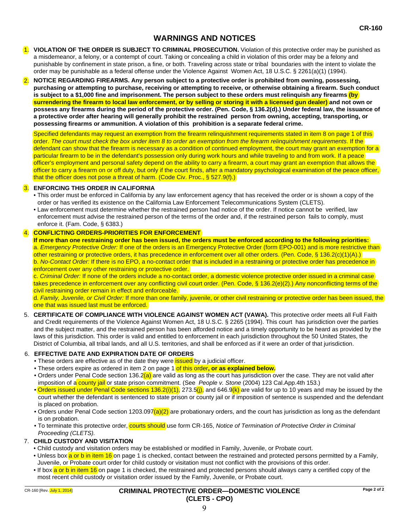#### **WARNINGS AND NOTICES**

- 1. **VIOLATION OF THE ORDER IS SUBJECT TO CRIMINAL PROSECUTION.** Violation of this protective order may be punished as a misdemeanor, a felony, or a contempt of court. Taking or concealing a child in violation of this order may be a felony and punishable by confinement in state prison, a fine, or both. Traveling across state or tribal boundaries with the intent to violate the order may be punishable as a federal offense under the Violence Against Women Act, 18 U.S.C. § 2261(a)(1) (1994).
- **NOTICE REGARDING FIREARMS. Any person subject to a protective order is prohibited from owning, possessing, purchasing or attempting to purchase, receiving or attempting to receive, or otherwise obtaining a firearm. Such conduct is subject to a \$1,000 fine and imprisonment. The person subject to these orders must relinquish any firearms (by surrendering the firearm to local law enforcement, or by selling or storing it with a licensed gun dealer) and not own or possess any firearms during the period of the protective order. (Pen. Code, § 136.2(d).) Under federal law, the issuance of a protective order after hearing will generally prohibit the restrained person from owning, accepting, transporting, or possessing firearms or ammunition. A violation of this prohibition is a separate federal crime.**  2.

Specified defendants may request an exemption from the firearm relinquishment requirements stated in item 8 on page 1 of this order. *The court must check the box under item 8 to order an exemption from the firearm relinquishment requirements*. If the defendant can show that the firearm is necessary as a condition of continued employment, the court may grant an exemption for a particular firearm to be in the defendant's possession only during work hours and while traveling to and from work. If a peace officer's employment and personal safety depend on the ability to carry a firearm, a court may grant an exemption that allows the officer to carry a firearm on or off duty, but only if the court finds, after a mandatory psychological examination of the peace officer, that the officer does not pose a threat of harm. (Code Civ. Proc., § 527.9(f).)

#### 3. **ENFORCING THIS ORDER IN CALIFORNIA**

- This order must be enforced in California by any law enforcement agency that has received the order or is shown a copy of the order or has verified its existence on the California Law Enforcement Telecommunications System (CLETS).
- Law enforcement must determine whether the restrained person had notice of the order. If notice cannot be verified, law enforcement must advise the restrained person of the terms of the order and, if the restrained person fails to comply, must enforce it. (Fam. Code, § 6383.)

#### 4. **CONFLICTING ORDERS-PRIORITIES FOR ENFORCEMENT**

**If more than one restraining order has been issued, the orders must be enforced according to the following priorities:**  a. *Emergency Protective Order:* If one of the orders is an Emergency Protective Order (form EPO-001) and is more restrictive than other restraining or protective orders, it has precedence in enforcement over all other orders. (Pen. Code, § 136.2(c)(1)(A).) b. *No-Contact Order:* If there is no EPO, a no-contact order that is included in a restraining or protective order has precedence in enforcement over any other restraining or protective order.

c. *Criminal Order:* If none of the orders include a no-contact order, a domestic violence protective order issued in a criminal case takes precedence in enforcement over any conflicting civil court order. (Pen. Code, § 136.2(e)(2).) Any nonconflicting terms of the civil restraining order remain in effect and enforceable.

d. *Family, Juvenile, or Civil Order:* If more than one family, juvenile, or other civil restraining or protective order has been issued, the one that was issued last must be enforced.

5. **CERTIFICATE OF COMPLIANCE WITH VIOLENCE AGAINST WOMEN ACT (VAWA).** This protective order meets all Full Faith and Credit requirements of the Violence Against Women Act, 18 U.S.C. § 2265 (1994). This court has jurisdiction over the parties and the subject matter, and the restrained person has been afforded notice and a timely opportunity to be heard as provided by the laws of this jurisdiction. This order is valid and entitled to enforcement in each jurisdiction throughout the 50 United States, the District of Columbia, all tribal lands, and all U.S. territories, and shall be enforced as if it were an order of that jurisdiction.

#### **EFFECTIVE DATE AND EXPIRATION DATE OF ORDERS**  6.

- These orders are effective as of the date they were **issued** by a judicial officer.
- These orders expire as ordered in item 2 on page 1 of this order, or as explained below.
- Orders under Penal Code section 136.2(a) are valid as long as the court has jurisdiction over the case. They are not valid after imposition of a county jail or state prison commitment. (See *People v. Stone* (2004) 123 Cal.App.4th 153.)
- Orders issued under Penal Code sections 136.2(i)(1), 273.5(i), and 646.9(k) are valid for up to 10 years and may be issued by the court whether the defendant is sentenced to state prison or county jail or if imposition of sentence is suspended and the defendant is placed on probation.
- Orders under Penal Code section 1203.097(a)(2) are probationary orders, and the court has jurisdiction as long as the defendant is on probation.
- To terminate this protective order, *courts should* use form CR-165, *Notice of Termination of Protective Order in Criminal Proceeding (CLETS).*

#### 7. **CHILD CUSTODY AND VISITATION**

- Child custody and visitation orders may be established or modified in Family, Juvenile, or Probate court.
- Unless box a or b in item 16 on page 1 is checked, contact between the restrained and protected persons permitted by a Family, Juvenile, or Probate court order for child custody or visitation must not conflict with the provisions of this order.
- If box a or b in item 16 on page 1 is checked, the restrained and protected persons should always carry a certified copy of the most recent child custody or visitation order issued by the Family, Juvenile, or Probate court.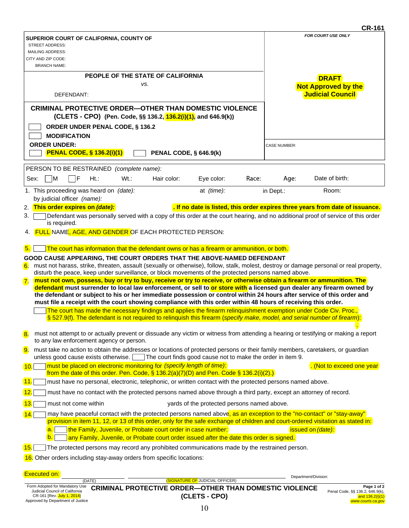|                           |                                                                                                                  |        |         |                                                                       |                                                                                                                |       |                     | <b>CR-161</b>                                                                                                                                                                                                                                                                                                                                                             |
|---------------------------|------------------------------------------------------------------------------------------------------------------|--------|---------|-----------------------------------------------------------------------|----------------------------------------------------------------------------------------------------------------|-------|---------------------|---------------------------------------------------------------------------------------------------------------------------------------------------------------------------------------------------------------------------------------------------------------------------------------------------------------------------------------------------------------------------|
|                           | SUPERIOR COURT OF CALIFORNIA, COUNTY OF<br><b>STREET ADDRESS:</b><br><b>MAILING ADDRESS:</b>                     |        |         |                                                                       |                                                                                                                |       |                     | FOR COURT USE ONLY                                                                                                                                                                                                                                                                                                                                                        |
|                           | CITY AND ZIP CODE:<br><b>BRANCH NAME:</b>                                                                        |        |         |                                                                       |                                                                                                                |       |                     |                                                                                                                                                                                                                                                                                                                                                                           |
|                           |                                                                                                                  |        |         | PEOPLE OF THE STATE OF CALIFORNIA                                     |                                                                                                                |       |                     | <b>DRAFT</b>                                                                                                                                                                                                                                                                                                                                                              |
|                           |                                                                                                                  |        |         | VS.                                                                   |                                                                                                                |       |                     | <b>Not Approved by the</b>                                                                                                                                                                                                                                                                                                                                                |
|                           | DEFENDANT:                                                                                                       |        |         |                                                                       |                                                                                                                |       |                     | <b>Judicial Council</b>                                                                                                                                                                                                                                                                                                                                                   |
|                           |                                                                                                                  |        |         |                                                                       | <b>CRIMINAL PROTECTIVE ORDER—OTHER THAN DOMESTIC VIOLENCE</b>                                                  |       |                     |                                                                                                                                                                                                                                                                                                                                                                           |
|                           |                                                                                                                  |        |         |                                                                       | (CLETS - CPO) (Pen. Code, §§ 136.2, 136.2(i)(1), and 646.9(k))                                                 |       |                     |                                                                                                                                                                                                                                                                                                                                                                           |
|                           | <b>ORDER UNDER PENAL CODE, § 136.2</b><br><b>MODIFICATION</b>                                                    |        |         |                                                                       |                                                                                                                |       |                     |                                                                                                                                                                                                                                                                                                                                                                           |
|                           | <b>ORDER UNDER:</b>                                                                                              |        |         |                                                                       |                                                                                                                |       | <b>CASE NUMBER:</b> |                                                                                                                                                                                                                                                                                                                                                                           |
|                           | <b>PENAL CODE, § 136.2(i)(1)</b>                                                                                 |        |         | <b>PENAL CODE, § 646.9(k)</b>                                         |                                                                                                                |       |                     |                                                                                                                                                                                                                                                                                                                                                                           |
|                           | PERSON TO BE RESTRAINED (complete name):                                                                         |        |         |                                                                       |                                                                                                                |       |                     |                                                                                                                                                                                                                                                                                                                                                                           |
| Sex:                      | ٦M<br>IF                                                                                                         | $Ht$ : | $Wt$ .: | Hair color:                                                           | Eye color:                                                                                                     | Race: | Age:                | Date of birth:                                                                                                                                                                                                                                                                                                                                                            |
|                           | 1. This proceeding was heard on (date):<br>by judicial officer (name):                                           |        |         |                                                                       | at (time):                                                                                                     |       | in Dept.:           | Room:                                                                                                                                                                                                                                                                                                                                                                     |
|                           | 2. This order expires on (date):                                                                                 |        |         |                                                                       |                                                                                                                |       |                     | . If no date is listed, this order expires three years from date of issuance.                                                                                                                                                                                                                                                                                             |
| 3.                        |                                                                                                                  |        |         |                                                                       |                                                                                                                |       |                     | Defendant was personally served with a copy of this order at the court hearing, and no additional proof of service of this order                                                                                                                                                                                                                                          |
|                           | is required.                                                                                                     |        |         | 4. FULL NAME, AGE, AND GENDER OF EACH PROTECTED PERSON:               |                                                                                                                |       |                     |                                                                                                                                                                                                                                                                                                                                                                           |
|                           |                                                                                                                  |        |         |                                                                       |                                                                                                                |       |                     |                                                                                                                                                                                                                                                                                                                                                                           |
| 5.                        |                                                                                                                  |        |         |                                                                       | The court has information that the defendant owns or has a firearm or ammunition, or both.                     |       |                     |                                                                                                                                                                                                                                                                                                                                                                           |
| 6.                        |                                                                                                                  |        |         |                                                                       | GOOD CAUSE APPEARING, THE COURT ORDERS THAT THE ABOVE-NAMED DEFENDANT                                          |       |                     | must not harass, strike, threaten, assault (sexually or otherwise), follow, stalk, molest, destroy or damage personal or real property,                                                                                                                                                                                                                                   |
|                           |                                                                                                                  |        |         |                                                                       | disturb the peace, keep under surveillance, or block movements of the protected persons named above.           |       |                     |                                                                                                                                                                                                                                                                                                                                                                           |
| $\overline{7}$ .          |                                                                                                                  |        |         |                                                                       | must file a receipt with the court showing compliance with this order within 48 hours of receiving this order. |       |                     | must not own, possess, buy or try to buy, receive or try to receive, or otherwise obtain a firearm or ammunition. The<br>defendant must surrender to local law enforcement, or sell to or store with a licensed gun dealer any firearm owned by<br>the defendant or subject to his or her immediate possession or control within 24 hours after service of this order and |
|                           |                                                                                                                  |        |         |                                                                       |                                                                                                                |       |                     | The court has made the necessary findings and applies the firearm relinquishment exemption under Code Civ. Proc.,                                                                                                                                                                                                                                                         |
|                           |                                                                                                                  |        |         |                                                                       |                                                                                                                |       |                     | § 527.9(f). The defendant is not required to relinquish this firearm (specify make, model, and serial number of firearm):                                                                                                                                                                                                                                                 |
| $\overline{\mathbf{8}}$ . | to any law enforcement agency or person.                                                                         |        |         |                                                                       |                                                                                                                |       |                     | must not attempt to or actually prevent or dissuade any victim or witness from attending a hearing or testifying or making a report                                                                                                                                                                                                                                       |
| 9.                        | unless good cause exists otherwise.                                                                              |        |         |                                                                       | The court finds good cause not to make the order in item 9.                                                    |       |                     | must take no action to obtain the addresses or locations of protected persons or their family members, caretakers, or guardian                                                                                                                                                                                                                                            |
| 10.                       |                                                                                                                  |        |         | must be placed on electronic monitoring for (specify length of time): | from the date of this order. Pen. Code, $\S$ 136.2(a)(7)(D) and Pen. Code $\S$ 136.2(i)(2).)                   |       |                     | . (Not to exceed one year)                                                                                                                                                                                                                                                                                                                                                |
| 11.                       | must have no personal, electronic, telephonic, or written contact with the protected persons named above.        |        |         |                                                                       |                                                                                                                |       |                     |                                                                                                                                                                                                                                                                                                                                                                           |
| 12.                       | must have no contact with the protected persons named above through a third party, except an attorney of record. |        |         |                                                                       |                                                                                                                |       |                     |                                                                                                                                                                                                                                                                                                                                                                           |
| 13 <sub>1</sub>           | must not come within                                                                                             |        |         |                                                                       | yards of the protected persons named above.                                                                    |       |                     |                                                                                                                                                                                                                                                                                                                                                                           |
| 14.                       |                                                                                                                  |        |         |                                                                       |                                                                                                                |       |                     | may have peaceful contact with the protected persons named above, as an exception to the "no-contact" or "stay-away"<br>provision in item 11, 12, or 13 of this order, only for the safe exchange of children and court-ordered visitation as stated in:                                                                                                                  |
|                           | a.<br>b.                                                                                                         |        |         | the Family, Juvenile, or Probate court order in case number:          | any Family, Juvenile, or Probate court order issued after the date this order is signed.                       |       |                     | issued on (date):                                                                                                                                                                                                                                                                                                                                                         |
| 15.                       |                                                                                                                  |        |         |                                                                       | The protected persons may record any prohibited communications made by the restrained person.                  |       |                     |                                                                                                                                                                                                                                                                                                                                                                           |
|                           |                                                                                                                  |        |         | 16. Other orders including stay-away orders from specific locations:  |                                                                                                                |       |                     |                                                                                                                                                                                                                                                                                                                                                                           |
|                           |                                                                                                                  |        |         |                                                                       |                                                                                                                |       |                     |                                                                                                                                                                                                                                                                                                                                                                           |

| <b>Executed on:</b>               |                                                               | Department/Division: |                                 |
|-----------------------------------|---------------------------------------------------------------|----------------------|---------------------------------|
| (DATE)                            | <b>(SIGNATURE OF JUDICIAL OFFICER)</b>                        |                      |                                 |
| Form Adopted for Mandatory Use    | <b>CRIMINAL PROTECTIVE ORDER-OTHER THAN DOMESTIC VIOLENCE</b> |                      | Page 1 of 2                     |
| Judicial Council of California    |                                                               |                      | Penal Code, §§ 136.2, 646.9(k), |
| CR-161 [Rev. July 1, 2014]        | (CLETS - CPO)                                                 |                      | and $136.2(i)(1)$               |
| Approved by Department of Justice |                                                               |                      | www.courts.ca.gov               |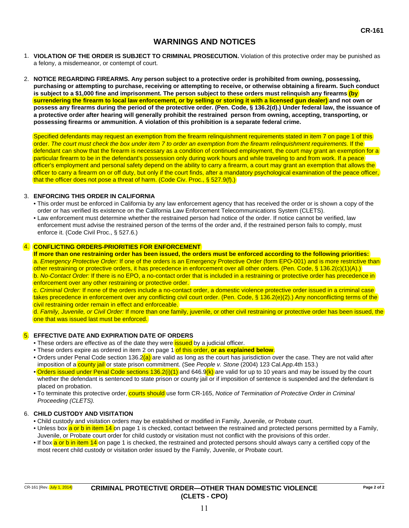#### **WARNINGS AND NOTICES**

- 1. **VIOLATION OF THE ORDER IS SUBJECT TO CRIMINAL PROSECUTION.** Violation of this protective order may be punished as a felony, a misdemeanor, or contempt of court.
- 2. **NOTICE REGARDING FIREARMS. Any person subject to a protective order is prohibited from owning, possessing, purchasing or attempting to purchase, receiving or attempting to receive, or otherwise obtaining a firearm. Such conduct is subject to a \$1,000 fine and imprisonment. The person subject to these orders must relinquish any firearms (by surrendering the firearm to local law enforcement, or by selling or storing it with a licensed gun dealer) and not own or possess any firearms during the period of the protective order. (Pen. Code, § 136.2(d).) Under federal law, the issuance of a protective order after hearing will generally prohibit the restrained person from owning, accepting, transporting, or possessing firearms or ammunition. A violation of this prohibition is a separate federal crime.**

Specified defendants may request an exemption from the firearm relinquishment requirements stated in item 7 on page 1 of this order. *The court must check the box under item 7 to order an exemption from the firearm relinquishment requirements.* If the defendant can show that the firearm is necessary as a condition of continued employment, the court may grant an exemption for a particular firearm to be in the defendant's possession only during work hours and while traveling to and from work. If a peace officer's employment and personal safety depend on the ability to carry a firearm, a court may grant an exemption that allows the officer to carry a firearm on or off duty, but only if the court finds, after a mandatory psychological examination of the peace officer, that the officer does not pose a threat of harm. (Code Civ. Proc., § 527.9(f).)

#### 3. **ENFORCING THIS ORDER IN CALIFORNIA**

- This order must be enforced in California by any law enforcement agency that has received the order or is shown a copy of the order or has verified its existence on the California Law Enforcement Telecommunications System (CLETS).
- Law enforcement must determine whether the restrained person had notice of the order. If notice cannot be verified, law enforcement must advise the restrained person of the terms of the order and, if the restrained person fails to comply, must enforce it. (Code Civil Proc., § 527.6.)

#### 4. **CONFLICTING ORDERS-PRIORITIES FOR ENFORCEMENT**

**If more than one restraining order has been issued, the orders must be enforced according to the following priorities:**  a. *Emergency Protective Order:* If one of the orders is an Emergency Protective Order (form EPO-001) and is more restrictive than other restraining or protective orders, it has precedence in enforcement over all other orders. (Pen. Code, § 136.2(c)(1)(A).) b. *No-Contact Order:* If there is no EPO, a no-contact order that is included in a restraining or protective order has precedence in enforcement over any other restraining or protective order.

c. *Criminal Order:* If none of the orders include a no-contact order, a domestic violence protective order issued in a criminal case takes precedence in enforcement over any conflicting civil court order. (Pen. Code, § 136.2(e)(2).) Any nonconflicting terms of the civil restraining order remain in effect and enforceable.

d. *Family, Juvenile, or Civil Order:* If more than one family, juvenile, or other civil restraining or protective order has been issued, the one that was issued last must be enforced.

#### 5. **EFFECTIVE DATE AND EXPIRATION DATE OF ORDERS**

- These orders are effective as of the date they were **issued** by a judicial officer.
- These orders expire as ordered in item 2 on page 1 of this order, **or as explained below**.
- Orders under Penal Code section 136.2(a) are valid as long as the court has jurisdiction over the case. They are not valid after imposition of a county jail or state prison commitment. (See *People v. Stone* (2004) 123 Cal.App.4th 153.)
- Orders issued under Penal Code sections 136.2(i)(1) and 646.9(k) are valid for up to 10 years and may be issued by the court whether the defendant is sentenced to state prison or county jail or if imposition of sentence is suspended and the defendant is placed on probation.
- To terminate this protective order, courts should use form CR-165, *Notice of Termination of Protective Order in Criminal Proceeding (CLETS).*

#### 6. **CHILD CUSTODY AND VISITATION**

- Child custody and visitation orders may be established or modified in Family, Juvenile, or Probate court.
- Unless box a or b in item 14 on page 1 is checked, contact between the restrained and protected persons permitted by a Family, Juvenile, or Probate court order for child custody or visitation must not conflict with the provisions of this order.
- If box a or b in item 14 on page 1 is checked, the restrained and protected persons should always carry a certified copy of the most recent child custody or visitation order issued by the Family, Juvenile, or Probate court.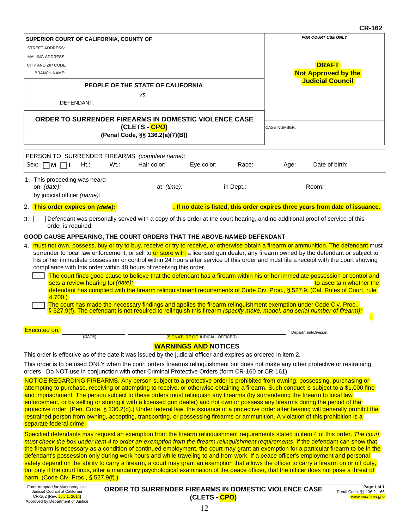#### **CR-162**

|                                                                                                                                                                                                                                                                                                                                                                                                                                                                                                                                                                                                                                                                                                           |                                                                                                                                                                                                                                                                                                                                                                                                                                                                                                                                                                                                                                                                                                                                                                                                                                                                                                                                                                                                                                                                                    |                                                  |                                 |           |                     | ∪r-10∠                                                                                                                                                                                                                                                                                                                                                                                                                                                                                                                                                              |  |  |
|-----------------------------------------------------------------------------------------------------------------------------------------------------------------------------------------------------------------------------------------------------------------------------------------------------------------------------------------------------------------------------------------------------------------------------------------------------------------------------------------------------------------------------------------------------------------------------------------------------------------------------------------------------------------------------------------------------------|------------------------------------------------------------------------------------------------------------------------------------------------------------------------------------------------------------------------------------------------------------------------------------------------------------------------------------------------------------------------------------------------------------------------------------------------------------------------------------------------------------------------------------------------------------------------------------------------------------------------------------------------------------------------------------------------------------------------------------------------------------------------------------------------------------------------------------------------------------------------------------------------------------------------------------------------------------------------------------------------------------------------------------------------------------------------------------|--------------------------------------------------|---------------------------------|-----------|---------------------|---------------------------------------------------------------------------------------------------------------------------------------------------------------------------------------------------------------------------------------------------------------------------------------------------------------------------------------------------------------------------------------------------------------------------------------------------------------------------------------------------------------------------------------------------------------------|--|--|
| SUPERIOR COURT OF CALIFORNIA, COUNTY OF                                                                                                                                                                                                                                                                                                                                                                                                                                                                                                                                                                                                                                                                   |                                                                                                                                                                                                                                                                                                                                                                                                                                                                                                                                                                                                                                                                                                                                                                                                                                                                                                                                                                                                                                                                                    |                                                  |                                 |           |                     | FOR COURT USE ONLY                                                                                                                                                                                                                                                                                                                                                                                                                                                                                                                                                  |  |  |
| <b>STREET ADDRESS:</b>                                                                                                                                                                                                                                                                                                                                                                                                                                                                                                                                                                                                                                                                                    |                                                                                                                                                                                                                                                                                                                                                                                                                                                                                                                                                                                                                                                                                                                                                                                                                                                                                                                                                                                                                                                                                    |                                                  |                                 |           |                     |                                                                                                                                                                                                                                                                                                                                                                                                                                                                                                                                                                     |  |  |
| <b>MAILING ADDRESS:</b><br>CITY AND ZIP CODE:                                                                                                                                                                                                                                                                                                                                                                                                                                                                                                                                                                                                                                                             |                                                                                                                                                                                                                                                                                                                                                                                                                                                                                                                                                                                                                                                                                                                                                                                                                                                                                                                                                                                                                                                                                    |                                                  |                                 |           |                     | <b>DRAFT</b>                                                                                                                                                                                                                                                                                                                                                                                                                                                                                                                                                        |  |  |
| <b>BRANCH NAME:</b>                                                                                                                                                                                                                                                                                                                                                                                                                                                                                                                                                                                                                                                                                       |                                                                                                                                                                                                                                                                                                                                                                                                                                                                                                                                                                                                                                                                                                                                                                                                                                                                                                                                                                                                                                                                                    |                                                  |                                 |           |                     | <b>Not Approved by the</b>                                                                                                                                                                                                                                                                                                                                                                                                                                                                                                                                          |  |  |
|                                                                                                                                                                                                                                                                                                                                                                                                                                                                                                                                                                                                                                                                                                           | PEOPLE OF THE STATE OF CALIFORNIA                                                                                                                                                                                                                                                                                                                                                                                                                                                                                                                                                                                                                                                                                                                                                                                                                                                                                                                                                                                                                                                  |                                                  | <b>Judicial Council</b>         |           |                     |                                                                                                                                                                                                                                                                                                                                                                                                                                                                                                                                                                     |  |  |
|                                                                                                                                                                                                                                                                                                                                                                                                                                                                                                                                                                                                                                                                                                           |                                                                                                                                                                                                                                                                                                                                                                                                                                                                                                                                                                                                                                                                                                                                                                                                                                                                                                                                                                                                                                                                                    | VS.                                              |                                 |           |                     |                                                                                                                                                                                                                                                                                                                                                                                                                                                                                                                                                                     |  |  |
| DEFENDANT:                                                                                                                                                                                                                                                                                                                                                                                                                                                                                                                                                                                                                                                                                                |                                                                                                                                                                                                                                                                                                                                                                                                                                                                                                                                                                                                                                                                                                                                                                                                                                                                                                                                                                                                                                                                                    |                                                  |                                 |           |                     |                                                                                                                                                                                                                                                                                                                                                                                                                                                                                                                                                                     |  |  |
| ORDER TO SURRENDER FIREARMS IN DOMESTIC VIOLENCE CASE                                                                                                                                                                                                                                                                                                                                                                                                                                                                                                                                                                                                                                                     |                                                                                                                                                                                                                                                                                                                                                                                                                                                                                                                                                                                                                                                                                                                                                                                                                                                                                                                                                                                                                                                                                    | (CLETS - CPO)<br>(Penal Code, §§ 136.2(a)(7)(B)) |                                 |           | <b>CASE NUMBER:</b> |                                                                                                                                                                                                                                                                                                                                                                                                                                                                                                                                                                     |  |  |
| PERSON TO SURRENDER FIREARMS (complete name):<br>ПF<br>$Ht$ .:<br>$Sex: \Box M$                                                                                                                                                                                                                                                                                                                                                                                                                                                                                                                                                                                                                           | Wt.:                                                                                                                                                                                                                                                                                                                                                                                                                                                                                                                                                                                                                                                                                                                                                                                                                                                                                                                                                                                                                                                                               | Hair color:                                      | Eye color:                      | Race:     | Age:                | Date of birth:                                                                                                                                                                                                                                                                                                                                                                                                                                                                                                                                                      |  |  |
|                                                                                                                                                                                                                                                                                                                                                                                                                                                                                                                                                                                                                                                                                                           |                                                                                                                                                                                                                                                                                                                                                                                                                                                                                                                                                                                                                                                                                                                                                                                                                                                                                                                                                                                                                                                                                    |                                                  |                                 |           |                     |                                                                                                                                                                                                                                                                                                                                                                                                                                                                                                                                                                     |  |  |
| 1. This proceeding was heard<br>on (date):<br>by judicial officer (name):                                                                                                                                                                                                                                                                                                                                                                                                                                                                                                                                                                                                                                 |                                                                                                                                                                                                                                                                                                                                                                                                                                                                                                                                                                                                                                                                                                                                                                                                                                                                                                                                                                                                                                                                                    | at (time):                                       |                                 | in Dept.: |                     | Room:                                                                                                                                                                                                                                                                                                                                                                                                                                                                                                                                                               |  |  |
| 2. This order expires on (date):                                                                                                                                                                                                                                                                                                                                                                                                                                                                                                                                                                                                                                                                          |                                                                                                                                                                                                                                                                                                                                                                                                                                                                                                                                                                                                                                                                                                                                                                                                                                                                                                                                                                                                                                                                                    |                                                  |                                 |           |                     | . If no date is listed, this order expires three years from date of issuance.                                                                                                                                                                                                                                                                                                                                                                                                                                                                                       |  |  |
| 3.<br>order is required.                                                                                                                                                                                                                                                                                                                                                                                                                                                                                                                                                                                                                                                                                  |                                                                                                                                                                                                                                                                                                                                                                                                                                                                                                                                                                                                                                                                                                                                                                                                                                                                                                                                                                                                                                                                                    |                                                  |                                 |           |                     | Defendant was personally served with a copy of this order at the court hearing, and no additional proof of service of this                                                                                                                                                                                                                                                                                                                                                                                                                                          |  |  |
| GOOD CAUSE APPEARING, THE COURT ORDERS THAT THE ABOVE-NAMED DEFENDANT                                                                                                                                                                                                                                                                                                                                                                                                                                                                                                                                                                                                                                     |                                                                                                                                                                                                                                                                                                                                                                                                                                                                                                                                                                                                                                                                                                                                                                                                                                                                                                                                                                                                                                                                                    |                                                  |                                 |           |                     |                                                                                                                                                                                                                                                                                                                                                                                                                                                                                                                                                                     |  |  |
|                                                                                                                                                                                                                                                                                                                                                                                                                                                                                                                                                                                                                                                                                                           |                                                                                                                                                                                                                                                                                                                                                                                                                                                                                                                                                                                                                                                                                                                                                                                                                                                                                                                                                                                                                                                                                    |                                                  |                                 |           |                     |                                                                                                                                                                                                                                                                                                                                                                                                                                                                                                                                                                     |  |  |
| 4.700.                                                                                                                                                                                                                                                                                                                                                                                                                                                                                                                                                                                                                                                                                                    | 4. must not own, possess, buy or try to buy, receive or try to receive, or otherwise obtain a firearm or ammunition. The defendant must<br>surrender to local law enforcement, or sell to or store with a licensed gun dealer, any firearm owned by the defendant or subject to<br>his or her immediate possession or control within 24 hours after service of this order and must file a receipt with the court showing<br>compliance with this order within 48 hours of receiving this order.<br>The court finds good cause to believe that the defendant has a firearm within his or her immediate possession or control and<br>sets a review hearing for (date):<br>to ascertain whether the<br>defendant has complied with the firearm relinquishment requirements of Code Civ. Proc., § 527.9. (Cal. Rules of Court, rule)<br>The court has made the necessary findings and applies the firearm relinquishment exemption under Code Civ. Proc.,<br>§ 527.9(f). The defendant is not required to relinquish this firearm (specify make, model, and serial number of firearm): |                                                  |                                 |           |                     |                                                                                                                                                                                                                                                                                                                                                                                                                                                                                                                                                                     |  |  |
| <b>Executed on:</b>                                                                                                                                                                                                                                                                                                                                                                                                                                                                                                                                                                                                                                                                                       |                                                                                                                                                                                                                                                                                                                                                                                                                                                                                                                                                                                                                                                                                                                                                                                                                                                                                                                                                                                                                                                                                    |                                                  |                                 |           |                     |                                                                                                                                                                                                                                                                                                                                                                                                                                                                                                                                                                     |  |  |
| (DATE)                                                                                                                                                                                                                                                                                                                                                                                                                                                                                                                                                                                                                                                                                                    |                                                                                                                                                                                                                                                                                                                                                                                                                                                                                                                                                                                                                                                                                                                                                                                                                                                                                                                                                                                                                                                                                    |                                                  | (SIGNATURE OF JUDICIAL OFFICER) |           |                     | Department/Division:                                                                                                                                                                                                                                                                                                                                                                                                                                                                                                                                                |  |  |
|                                                                                                                                                                                                                                                                                                                                                                                                                                                                                                                                                                                                                                                                                                           |                                                                                                                                                                                                                                                                                                                                                                                                                                                                                                                                                                                                                                                                                                                                                                                                                                                                                                                                                                                                                                                                                    |                                                  | <b>WARNINGS AND NOTICES</b>     |           |                     |                                                                                                                                                                                                                                                                                                                                                                                                                                                                                                                                                                     |  |  |
| This order is effective as of the date it was issued by the judicial officer and expires as ordered in item 2.                                                                                                                                                                                                                                                                                                                                                                                                                                                                                                                                                                                            |                                                                                                                                                                                                                                                                                                                                                                                                                                                                                                                                                                                                                                                                                                                                                                                                                                                                                                                                                                                                                                                                                    |                                                  |                                 |           |                     |                                                                                                                                                                                                                                                                                                                                                                                                                                                                                                                                                                     |  |  |
| This order is to be used ONLY when the court orders firearms relinquishment but does not make any other protective or restraining<br>orders. Do NOT use in conjunction with other Criminal Protective Orders (form CR-160 or CR-161).                                                                                                                                                                                                                                                                                                                                                                                                                                                                     |                                                                                                                                                                                                                                                                                                                                                                                                                                                                                                                                                                                                                                                                                                                                                                                                                                                                                                                                                                                                                                                                                    |                                                  |                                 |           |                     |                                                                                                                                                                                                                                                                                                                                                                                                                                                                                                                                                                     |  |  |
| NOTICE REGARDING FIREARMS. Any person subject to a protective order is prohibited from owning, possessing, purchasing or<br>attempting to purchase, receiving or attempting to receive, or otherwise obtaining a firearm. Such conduct is subject to a \$1,000 fine<br>and imprisonment. The person subject to these orders must relinquish any firearms (by surrendering the firearm to local law)<br>enforcement, or by selling or storing it with a licensed gun dealer) and not own or possess any firearms during the period of the<br>restrained person from owning, accepting, transporting, or possessing firearms or ammunition. A violation of this prohibition is a<br>separate federal crime. |                                                                                                                                                                                                                                                                                                                                                                                                                                                                                                                                                                                                                                                                                                                                                                                                                                                                                                                                                                                                                                                                                    |                                                  |                                 |           |                     | protective order. (Pen. Code, § 136.2(d).) Under federal law, the issuance of a protective order after hearing will generally prohibit the                                                                                                                                                                                                                                                                                                                                                                                                                          |  |  |
| defendant's possession only during work hours and while traveling to and from work. If a peace officer's employment and personal<br>but only if the court finds, after a mandatory psychological examination of the peace officer, that the officer does not pose a threat of<br>harm. (Code Civ. Proc., $\S$ 527.9(f).)                                                                                                                                                                                                                                                                                                                                                                                  |                                                                                                                                                                                                                                                                                                                                                                                                                                                                                                                                                                                                                                                                                                                                                                                                                                                                                                                                                                                                                                                                                    |                                                  |                                 |           |                     | Specified defendants may request an exemption from the firearm relinquishment requirements stated in item 4 of this order. The court<br>must check the box under item 4 to order an exemption from the firearm relinquishment requirements. If the defendant can show that<br>the firearm is necessary as a condition of continued employment, the court may grant an exemption for a particular firearm to be in the<br>safety depend on the ability to carry a firearm, a court may grant an exemption that allows the officer to carry a firearm on or off duty, |  |  |

| Form Adopted for Mandatory Use    |  |  |  |  |  |  |
|-----------------------------------|--|--|--|--|--|--|
| Judicial Council of California    |  |  |  |  |  |  |
| CR-162 [Rev. July 1, 2014]        |  |  |  |  |  |  |
| Approved by Department of Justice |  |  |  |  |  |  |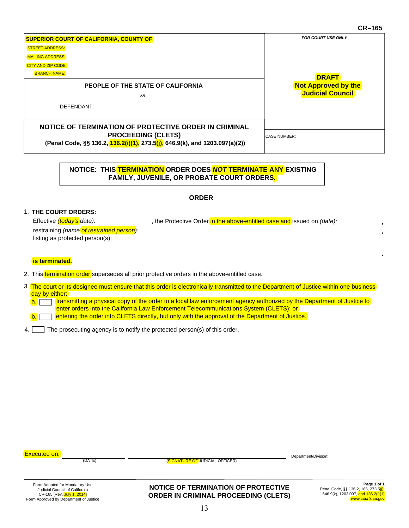#### **CR–165**

|                                                                             | <b>UR-109</b>              |
|-----------------------------------------------------------------------------|----------------------------|
| <b>SUPERIOR COURT OF CALIFORNIA, COUNTY OF</b>                              | <b>FOR COURT USE ONLY</b>  |
| <b>STREET ADDRESS:</b>                                                      |                            |
| <b>MAILING ADDRESS:</b>                                                     |                            |
| <b>CITY AND ZIP CODE:</b>                                                   |                            |
| <b>BRANCH NAME:</b>                                                         | <b>DRAFT</b>               |
| PEOPLE OF THE STATE OF CALIFORNIA                                           | <b>Not Approved by the</b> |
| VS.                                                                         | <b>Judicial Council</b>    |
| DEFENDANT:                                                                  |                            |
|                                                                             |                            |
| NOTICE OF TERMINATION OF PROTECTIVE ORDER IN CRIMINAL                       |                            |
| <b>PROCEEDING (CLETS)</b>                                                   | <b>CASE NUMBER:</b>        |
| (Penal Code, §§ 136.2, 136.2(i)(1), 273.5(j), 646.9(k), and 1203.097(a)(2)) |                            |
|                                                                             |                            |

#### **NOTICE: THIS TERMINATION ORDER DOES** *NOT* **TERMINATE ANY EXISTING FAMILY, JUVENILE, OR PROBATE COURT ORDERS.**

#### **ORDER**

#### **THE COURT ORDERS:** 1.

Effective *(today's* date): *construmed in the Protective Order* in the above-entitled case and issued on *(date)*:

restraining *(name of restrained person):* listing as protected person(s):

#### **is terminated.**

2. This <mark>termination order</mark> supersedes all prior protective orders in the above-entitled case.

3. The court or its designee must ensure that this order is electronically transmitted to the Department of Justice within one business day by either:

I transmitting a physical copy of the order to a local law enforcement agency authorized by the Department of Justice to enter orders into the California Law Enforcement Telecommunications System (CLETS); or  $a.$ 

entering the order into CLETS directly, but only with the approval of the Department of Justice.  $\mathsf{b}$ .

4. The prosecuting agency is to notify the protected person(s) of this order.

| <b>Executed on:</b><br>(DATE) | (SIGNATURE OF JUDICIAL OFFICER) | Department/Division: |
|-------------------------------|---------------------------------|----------------------|
|                               |                                 | _ _ _ _              |

**NOTICE OF TERMINATION OF PROTECTIVE ORDER IN CRIMINAL PROCEEDING (CLETS)**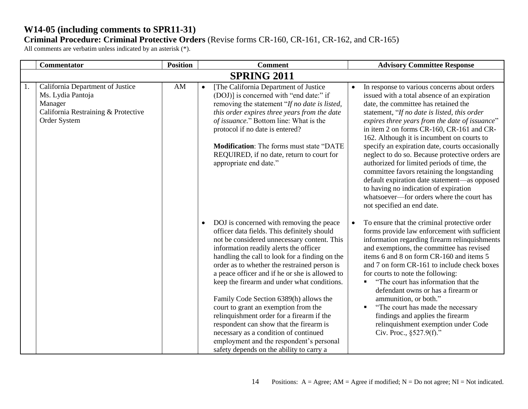# **W14-05 (including comments to SPR11-31)**

# **Criminal Procedure: Criminal Protective Orders** (Revise forms CR-160, CR-161, CR-162, and CR-165)

|    | <b>Commentator</b>                                                                                                      | <b>Position</b>        | <b>Comment</b>                                                                                                                                                                                                                                                                                                                                                                                                                                                                                                                                                                                                                                                                                              | <b>Advisory Committee Response</b>                                                                                                                                                                                                                                                                                                                                                                                                                                                                                                                                                                                                                                                                        |
|----|-------------------------------------------------------------------------------------------------------------------------|------------------------|-------------------------------------------------------------------------------------------------------------------------------------------------------------------------------------------------------------------------------------------------------------------------------------------------------------------------------------------------------------------------------------------------------------------------------------------------------------------------------------------------------------------------------------------------------------------------------------------------------------------------------------------------------------------------------------------------------------|-----------------------------------------------------------------------------------------------------------------------------------------------------------------------------------------------------------------------------------------------------------------------------------------------------------------------------------------------------------------------------------------------------------------------------------------------------------------------------------------------------------------------------------------------------------------------------------------------------------------------------------------------------------------------------------------------------------|
|    |                                                                                                                         |                        | <b>SPRING 2011</b>                                                                                                                                                                                                                                                                                                                                                                                                                                                                                                                                                                                                                                                                                          |                                                                                                                                                                                                                                                                                                                                                                                                                                                                                                                                                                                                                                                                                                           |
| 1. | California Department of Justice<br>Ms. Lydia Pantoja<br>Manager<br>California Restraining & Protective<br>Order System | $\mathbf{A}\mathbf{M}$ | [The California Department of Justice<br>$\bullet$<br>(DOJ)] is concerned with "end date:" if<br>removing the statement "If no date is listed,<br>this order expires three years from the date<br>of issuance." Bottom line: What is the<br>protocol if no date is entered?<br><b>Modification:</b> The forms must state "DATE"<br>REQUIRED, if no date, return to court for<br>appropriate end date."                                                                                                                                                                                                                                                                                                      | In response to various concerns about orders<br>issued with a total absence of an expiration<br>date, the committee has retained the<br>statement, "If no date is listed, this order<br>expires three years from the date of issuance"<br>in item 2 on forms CR-160, CR-161 and CR-<br>162. Although it is incumbent on courts to<br>specify an expiration date, courts occasionally<br>neglect to do so. Because protective orders are<br>authorized for limited periods of time, the<br>committee favors retaining the longstanding<br>default expiration date statement—as opposed<br>to having no indication of expiration<br>whatsoever-for orders where the court has<br>not specified an end date. |
|    |                                                                                                                         |                        | DOJ is concerned with removing the peace<br>$\bullet$<br>officer data fields. This definitely should<br>not be considered unnecessary content. This<br>information readily alerts the officer<br>handling the call to look for a finding on the<br>order as to whether the restrained person is<br>a peace officer and if he or she is allowed to<br>keep the firearm and under what conditions.<br>Family Code Section 6389(h) allows the<br>court to grant an exemption from the<br>relinquishment order for a firearm if the<br>respondent can show that the firearm is<br>necessary as a condition of continued<br>employment and the respondent's personal<br>safety depends on the ability to carry a | To ensure that the criminal protective order<br>$\bullet$<br>forms provide law enforcement with sufficient<br>information regarding firearm relinquishments<br>and exemptions, the committee has revised<br>items 6 and 8 on form CR-160 and items 5<br>and 7 on form CR-161 to include check boxes<br>for courts to note the following:<br>"The court has information that the<br>defendant owns or has a firearm or<br>ammunition, or both."<br>"The court has made the necessary<br>$\blacksquare$<br>findings and applies the firearm<br>relinquishment exemption under Code<br>Civ. Proc., $§527.9(f)$ ."                                                                                            |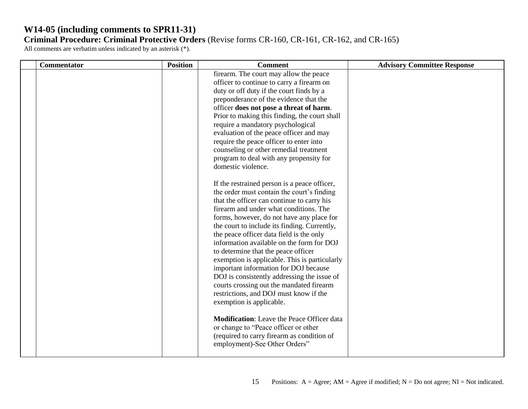| firearm. The court may allow the peace<br>officer to continue to carry a firearm on<br>duty or off duty if the court finds by a<br>preponderance of the evidence that the<br>officer does not pose a threat of harm.<br>Prior to making this finding, the court shall<br>require a mandatory psychological<br>evaluation of the peace officer and may<br>require the peace officer to enter into<br>counseling or other remedial treatment<br>program to deal with any propensity for                                                                                                                                                                                                                                                                                                                                                                  | Commentator | <b>Position</b> | <b>Comment</b>     | <b>Advisory Committee Response</b> |
|--------------------------------------------------------------------------------------------------------------------------------------------------------------------------------------------------------------------------------------------------------------------------------------------------------------------------------------------------------------------------------------------------------------------------------------------------------------------------------------------------------------------------------------------------------------------------------------------------------------------------------------------------------------------------------------------------------------------------------------------------------------------------------------------------------------------------------------------------------|-------------|-----------------|--------------------|------------------------------------|
| If the restrained person is a peace officer,<br>the order must contain the court's finding<br>that the officer can continue to carry his<br>firearm and under what conditions. The<br>forms, however, do not have any place for<br>the court to include its finding. Currently,<br>the peace officer data field is the only<br>information available on the form for DOJ<br>to determine that the peace officer<br>exemption is applicable. This is particularly<br>important information for DOJ because<br>DOJ is consistently addressing the issue of<br>courts crossing out the mandated firearm<br>restrictions, and DOJ must know if the<br>exemption is applicable.<br><b>Modification:</b> Leave the Peace Officer data<br>or change to "Peace officer or other<br>(required to carry firearm as condition of<br>employment)-See Other Orders" |             |                 | domestic violence. |                                    |
|                                                                                                                                                                                                                                                                                                                                                                                                                                                                                                                                                                                                                                                                                                                                                                                                                                                        |             |                 |                    |                                    |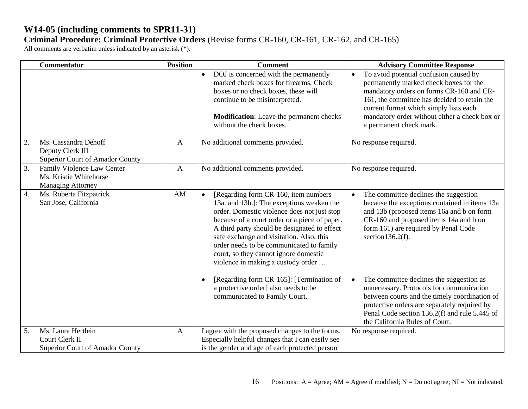|    | <b>Commentator</b>                                                               | <b>Position</b> | <b>Comment</b>                                                                                                                                                                                                                                                                                                                                                                                                         | <b>Advisory Committee Response</b>                                                                                                                                                                                                                                                                              |
|----|----------------------------------------------------------------------------------|-----------------|------------------------------------------------------------------------------------------------------------------------------------------------------------------------------------------------------------------------------------------------------------------------------------------------------------------------------------------------------------------------------------------------------------------------|-----------------------------------------------------------------------------------------------------------------------------------------------------------------------------------------------------------------------------------------------------------------------------------------------------------------|
|    |                                                                                  |                 | DOJ is concerned with the permanently<br>$\bullet$<br>marked check boxes for firearms. Check<br>boxes or no check boxes, these will<br>continue to be misinterpreted.<br><b>Modification:</b> Leave the permanent checks<br>without the check boxes.                                                                                                                                                                   | To avoid potential confusion caused by<br>$\bullet$<br>permanently marked check boxes for the<br>mandatory orders on forms CR-160 and CR-<br>161, the committee has decided to retain the<br>current format which simply lists each<br>mandatory order without either a check box or<br>a permanent check mark. |
| 2. | Ms. Cassandra Dehoff<br>Deputy Clerk III<br>Superior Court of Amador County      | $\mathbf{A}$    | No additional comments provided.                                                                                                                                                                                                                                                                                                                                                                                       | No response required.                                                                                                                                                                                                                                                                                           |
| 3. | Family Violence Law Center<br>Ms. Kristie Whitehorse<br><b>Managing Attorney</b> | $\mathbf{A}$    | No additional comments provided.                                                                                                                                                                                                                                                                                                                                                                                       | No response required.                                                                                                                                                                                                                                                                                           |
| 4. | Ms. Roberta Fitzpatrick<br>San Jose, California                                  | AM              | [Regarding form CR-160, item numbers]<br>$\bullet$<br>13a. and 13b.]: The exceptions weaken the<br>order. Domestic violence does not just stop<br>because of a court order or a piece of paper.<br>A third party should be designated to effect<br>safe exchange and visitation. Also, this<br>order needs to be communicated to family<br>court, so they cannot ignore domestic<br>violence in making a custody order | The committee declines the suggestion<br>$\bullet$<br>because the exceptions contained in items 13a<br>and 13b (proposed items 16a and b on form<br>CR-160 and proposed items 14a and b on<br>form 161) are required by Penal Code<br>section $136.2(f)$ .                                                      |
|    |                                                                                  |                 | [Regarding form CR-165]: [Termination of<br>$\bullet$<br>a protective order] also needs to be<br>communicated to Family Court.                                                                                                                                                                                                                                                                                         | The committee declines the suggestion as<br>$\bullet$<br>unnecessary. Protocols for communication<br>between courts and the timely coordination of<br>protective orders are separately required by<br>Penal Code section 136.2(f) and rule 5.445 of<br>the California Rules of Court.                           |
| 5. | Ms. Laura Hertlein                                                               | $\mathbf{A}$    | I agree with the proposed changes to the forms.                                                                                                                                                                                                                                                                                                                                                                        | No response required.                                                                                                                                                                                                                                                                                           |
|    | Court Clerk II<br>Superior Court of Amador County                                |                 | Especially helpful changes that I can easily see<br>is the gender and age of each protected person                                                                                                                                                                                                                                                                                                                     |                                                                                                                                                                                                                                                                                                                 |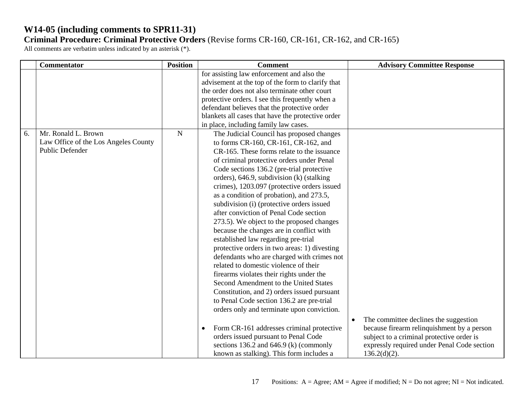|    | Commentator                                                                           | <b>Position</b> | <b>Comment</b>                                                                                                                                                                                                                                                                                                                                                                                                                                                                                                                                                                                                                                                                                                                                                                                                                                                                                                                                                                                                                                                                                                                            | <b>Advisory Committee Response</b>                                                                                                                                                                              |
|----|---------------------------------------------------------------------------------------|-----------------|-------------------------------------------------------------------------------------------------------------------------------------------------------------------------------------------------------------------------------------------------------------------------------------------------------------------------------------------------------------------------------------------------------------------------------------------------------------------------------------------------------------------------------------------------------------------------------------------------------------------------------------------------------------------------------------------------------------------------------------------------------------------------------------------------------------------------------------------------------------------------------------------------------------------------------------------------------------------------------------------------------------------------------------------------------------------------------------------------------------------------------------------|-----------------------------------------------------------------------------------------------------------------------------------------------------------------------------------------------------------------|
|    |                                                                                       |                 | for assisting law enforcement and also the<br>advisement at the top of the form to clarify that<br>the order does not also terminate other court<br>protective orders. I see this frequently when a<br>defendant believes that the protective order<br>blankets all cases that have the protective order<br>in place, including family law cases.                                                                                                                                                                                                                                                                                                                                                                                                                                                                                                                                                                                                                                                                                                                                                                                         |                                                                                                                                                                                                                 |
| 6. | Mr. Ronald L. Brown<br>Law Office of the Los Angeles County<br><b>Public Defender</b> | ${\bf N}$       | The Judicial Council has proposed changes<br>to forms CR-160, CR-161, CR-162, and<br>CR-165. These forms relate to the issuance<br>of criminal protective orders under Penal<br>Code sections 136.2 (pre-trial protective<br>orders), 646.9, subdivision (k) (stalking<br>crimes), 1203.097 (protective orders issued<br>as a condition of probation), and 273.5,<br>subdivision (i) (protective orders issued<br>after conviction of Penal Code section<br>273.5). We object to the proposed changes<br>because the changes are in conflict with<br>established law regarding pre-trial<br>protective orders in two areas: 1) divesting<br>defendants who are charged with crimes not<br>related to domestic violence of their<br>firearms violates their rights under the<br>Second Amendment to the United States<br>Constitution, and 2) orders issued pursuant<br>to Penal Code section 136.2 are pre-trial<br>orders only and terminate upon conviction.<br>Form CR-161 addresses criminal protective<br>orders issued pursuant to Penal Code<br>sections 136.2 and 646.9 (k) (commonly<br>known as stalking). This form includes a | The committee declines the suggestion<br>$\bullet$<br>because firearm relinquishment by a person<br>subject to a criminal protective order is<br>expressly required under Penal Code section<br>$136.2(d)(2)$ . |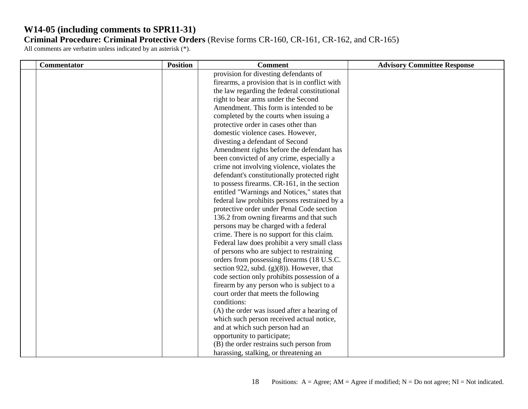| <b>Commentator</b> | <b>Position</b> | <b>Comment</b>                                 | <b>Advisory Committee Response</b> |
|--------------------|-----------------|------------------------------------------------|------------------------------------|
|                    |                 | provision for divesting defendants of          |                                    |
|                    |                 | firearms, a provision that is in conflict with |                                    |
|                    |                 | the law regarding the federal constitutional   |                                    |
|                    |                 | right to bear arms under the Second            |                                    |
|                    |                 | Amendment. This form is intended to be         |                                    |
|                    |                 | completed by the courts when issuing a         |                                    |
|                    |                 | protective order in cases other than           |                                    |
|                    |                 | domestic violence cases. However,              |                                    |
|                    |                 | divesting a defendant of Second                |                                    |
|                    |                 | Amendment rights before the defendant has      |                                    |
|                    |                 | been convicted of any crime, especially a      |                                    |
|                    |                 | crime not involving violence, violates the     |                                    |
|                    |                 | defendant's constitutionally protected right   |                                    |
|                    |                 | to possess firearms. CR-161, in the section    |                                    |
|                    |                 | entitled "Warnings and Notices," states that   |                                    |
|                    |                 | federal law prohibits persons restrained by a  |                                    |
|                    |                 | protective order under Penal Code section      |                                    |
|                    |                 | 136.2 from owning firearms and that such       |                                    |
|                    |                 | persons may be charged with a federal          |                                    |
|                    |                 | crime. There is no support for this claim.     |                                    |
|                    |                 | Federal law does prohibit a very small class   |                                    |
|                    |                 | of persons who are subject to restraining      |                                    |
|                    |                 | orders from possessing firearms (18 U.S.C.     |                                    |
|                    |                 | section 922, subd. $(g)(8)$ ). However, that   |                                    |
|                    |                 | code section only prohibits possession of a    |                                    |
|                    |                 | firearm by any person who is subject to a      |                                    |
|                    |                 | court order that meets the following           |                                    |
|                    |                 | conditions:                                    |                                    |
|                    |                 | (A) the order was issued after a hearing of    |                                    |
|                    |                 | which such person received actual notice,      |                                    |
|                    |                 | and at which such person had an                |                                    |
|                    |                 | opportunity to participate;                    |                                    |
|                    |                 | (B) the order restrains such person from       |                                    |
|                    |                 | harassing, stalking, or threatening an         |                                    |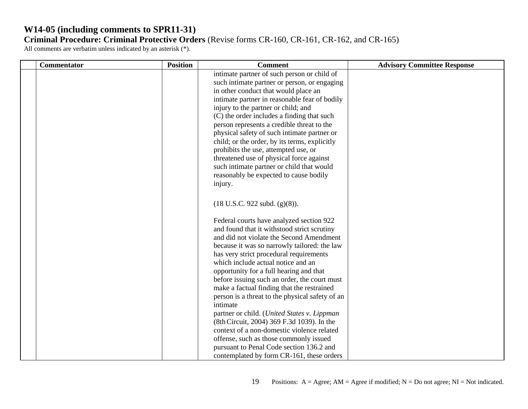| Commentator | <b>Position</b> | <b>Comment</b>                                                                                                                                                                                                                                                                                                                                                                                                                                                                                                                                                                                                                                                                                                                                             | <b>Advisory Committee Response</b> |
|-------------|-----------------|------------------------------------------------------------------------------------------------------------------------------------------------------------------------------------------------------------------------------------------------------------------------------------------------------------------------------------------------------------------------------------------------------------------------------------------------------------------------------------------------------------------------------------------------------------------------------------------------------------------------------------------------------------------------------------------------------------------------------------------------------------|------------------------------------|
|             |                 | intimate partner of such person or child of<br>such intimate partner or person, or engaging<br>in other conduct that would place an<br>intimate partner in reasonable fear of bodily<br>injury to the partner or child; and<br>(C) the order includes a finding that such<br>person represents a credible threat to the<br>physical safety of such intimate partner or<br>child; or the order, by its terms, explicitly<br>prohibits the use, attempted use, or<br>threatened use of physical force against<br>such intimate partner or child that would<br>reasonably be expected to cause bodily<br>injury.                                                                                                                                              |                                    |
|             |                 | $(18 \text{ U.S.C. } 922 \text{ subd. } (g)(8)).$                                                                                                                                                                                                                                                                                                                                                                                                                                                                                                                                                                                                                                                                                                          |                                    |
|             |                 | Federal courts have analyzed section 922<br>and found that it withstood strict scrutiny<br>and did not violate the Second Amendment<br>because it was so narrowly tailored: the law<br>has very strict procedural requirements<br>which include actual notice and an<br>opportunity for a full hearing and that<br>before issuing such an order, the court must<br>make a factual finding that the restrained<br>person is a threat to the physical safety of an<br>intimate<br>partner or child. (United States v. Lippman<br>(8th Circuit, 2004) 369 F.3d 1039). In the<br>context of a non-domestic violence related<br>offense, such as those commonly issued<br>pursuant to Penal Code section 136.2 and<br>contemplated by form CR-161, these orders |                                    |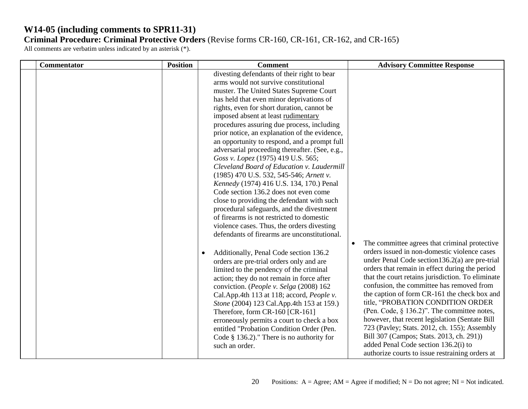| Commentator | <b>Position</b> | <b>Comment</b>                                                                                                                                                                                                                                                                                                                                                                                                                                                                                                                                                                                                                                                                                                                                                                                                                                                                                                                                                                                                                                                                                                                                                                                                                                                                                                                                                                                                                                             | <b>Advisory Committee Response</b>                                                                                                                                                                                                                                                                                                                                                                                                                                                                                                                                                                                                                                                                  |
|-------------|-----------------|------------------------------------------------------------------------------------------------------------------------------------------------------------------------------------------------------------------------------------------------------------------------------------------------------------------------------------------------------------------------------------------------------------------------------------------------------------------------------------------------------------------------------------------------------------------------------------------------------------------------------------------------------------------------------------------------------------------------------------------------------------------------------------------------------------------------------------------------------------------------------------------------------------------------------------------------------------------------------------------------------------------------------------------------------------------------------------------------------------------------------------------------------------------------------------------------------------------------------------------------------------------------------------------------------------------------------------------------------------------------------------------------------------------------------------------------------------|-----------------------------------------------------------------------------------------------------------------------------------------------------------------------------------------------------------------------------------------------------------------------------------------------------------------------------------------------------------------------------------------------------------------------------------------------------------------------------------------------------------------------------------------------------------------------------------------------------------------------------------------------------------------------------------------------------|
|             |                 | divesting defendants of their right to bear<br>arms would not survive constitutional<br>muster. The United States Supreme Court<br>has held that even minor deprivations of<br>rights, even for short duration, cannot be<br>imposed absent at least rudimentary<br>procedures assuring due process, including<br>prior notice, an explanation of the evidence,<br>an opportunity to respond, and a prompt full<br>adversarial proceeding thereafter. (See, e.g.,<br>Goss v. Lopez (1975) 419 U.S. 565;<br>Cleveland Board of Education v. Laudermill<br>(1985) 470 U.S. 532, 545-546; Arnett v.<br>Kennedy (1974) 416 U.S. 134, 170.) Penal<br>Code section 136.2 does not even come<br>close to providing the defendant with such<br>procedural safeguards, and the divestment<br>of firearms is not restricted to domestic<br>violence cases. Thus, the orders divesting<br>defendants of firearms are unconstitutional.<br>Additionally, Penal Code section 136.2<br>$\bullet$<br>orders are pre-trial orders only and are<br>limited to the pendency of the criminal<br>action; they do not remain in force after<br>conviction. (People v. Selga (2008) 162<br>Cal.App.4th 113 at 118; accord, People v.<br>Stone (2004) 123 Cal.App.4th 153 at 159.)<br>Therefore, form CR-160 [CR-161]<br>erroneously permits a court to check a box<br>entitled "Probation Condition Order (Pen.<br>Code $§$ 136.2)." There is no authority for<br>such an order. | The committee agrees that criminal protective<br>$\bullet$<br>orders issued in non-domestic violence cases<br>under Penal Code section $136.2(a)$ are pre-trial<br>orders that remain in effect during the period<br>that the court retains jurisdiction. To eliminate<br>confusion, the committee has removed from<br>the caption of form CR-161 the check box and<br>title, "PROBATION CONDITION ORDER<br>(Pen. Code, $\S$ 136.2)". The committee notes,<br>however, that recent legislation (Sentate Bill<br>723 (Pavley; Stats. 2012, ch. 155); Assembly<br>Bill 307 (Campos; Stats. 2013, ch. 291))<br>added Penal Code section 136.2(i) to<br>authorize courts to issue restraining orders at |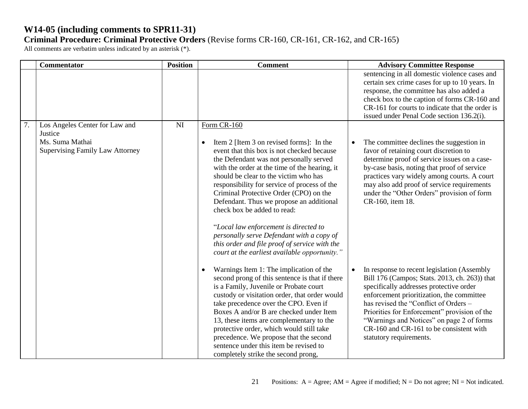|    | <b>Commentator</b>                                                                                     | <b>Position</b> | <b>Comment</b>                                                                                                                                                                                                                                                                                                                                                                                                                                                                                                                                                                                                       | <b>Advisory Committee Response</b>                                                                                                                                                                                                                                                                                                                                                               |
|----|--------------------------------------------------------------------------------------------------------|-----------------|----------------------------------------------------------------------------------------------------------------------------------------------------------------------------------------------------------------------------------------------------------------------------------------------------------------------------------------------------------------------------------------------------------------------------------------------------------------------------------------------------------------------------------------------------------------------------------------------------------------------|--------------------------------------------------------------------------------------------------------------------------------------------------------------------------------------------------------------------------------------------------------------------------------------------------------------------------------------------------------------------------------------------------|
|    |                                                                                                        |                 |                                                                                                                                                                                                                                                                                                                                                                                                                                                                                                                                                                                                                      | sentencing in all domestic violence cases and<br>certain sex crime cases for up to 10 years. In<br>response, the committee has also added a<br>check box to the caption of forms CR-160 and<br>CR-161 for courts to indicate that the order is<br>issued under Penal Code section 136.2(i).                                                                                                      |
| 7. | Los Angeles Center for Law and<br>Justice<br>Ms. Suma Mathai<br><b>Supervising Family Law Attorney</b> | NI              | Form CR-160<br>Item 2 [Item 3 on revised forms]: In the<br>$\bullet$<br>event that this box is not checked because<br>the Defendant was not personally served<br>with the order at the time of the hearing, it<br>should be clear to the victim who has<br>responsibility for service of process of the<br>Criminal Protective Order (CPO) on the<br>Defendant. Thus we propose an additional<br>check box be added to read:<br>"Local law enforcement is directed to<br>personally serve Defendant with a copy of<br>this order and file proof of service with the<br>court at the earliest available opportunity." | The committee declines the suggestion in<br>$\bullet$<br>favor of retaining court discretion to<br>determine proof of service issues on a case-<br>by-case basis, noting that proof of service<br>practices vary widely among courts. A court<br>may also add proof of service requirements<br>under the "Other Orders" provision of form<br>CR-160, item 18.                                    |
|    |                                                                                                        |                 | Warnings Item 1: The implication of the<br>$\bullet$<br>second prong of this sentence is that if there<br>is a Family, Juvenile or Probate court<br>custody or visitation order, that order would<br>take precedence over the CPO. Even if<br>Boxes A and/or B are checked under Item<br>13, these items are complementary to the<br>protective order, which would still take<br>precedence. We propose that the second<br>sentence under this item be revised to<br>completely strike the second prong,                                                                                                             | In response to recent legislation (Assembly<br>Bill 176 (Campos; Stats. 2013, ch. 263)) that<br>specifically addresses protective order<br>enforcement prioritization, the committee<br>has revised the "Conflict of Orders -<br>Priorities for Enforcement" provision of the<br>"Warnings and Notices" on page 2 of forms<br>CR-160 and CR-161 to be consistent with<br>statutory requirements. |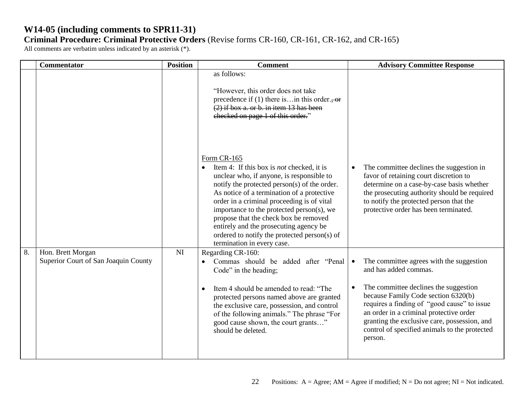|    | Commentator                                               | <b>Position</b> | <b>Comment</b>                                                                                                                                                                                                                                                                                                                                                                                                                                                           | <b>Advisory Committee Response</b>                                                                                                                                                                                                                                                                                                                                                |
|----|-----------------------------------------------------------|-----------------|--------------------------------------------------------------------------------------------------------------------------------------------------------------------------------------------------------------------------------------------------------------------------------------------------------------------------------------------------------------------------------------------------------------------------------------------------------------------------|-----------------------------------------------------------------------------------------------------------------------------------------------------------------------------------------------------------------------------------------------------------------------------------------------------------------------------------------------------------------------------------|
|    |                                                           |                 | as follows:<br>"However, this order does not take<br>precedence if (1) there is in this order., or<br>$(2)$ if box a. or b. in item 13 has been<br>checked on page 1 of this order."                                                                                                                                                                                                                                                                                     |                                                                                                                                                                                                                                                                                                                                                                                   |
|    |                                                           |                 | Form CR-165<br>• Item 4: If this box is <i>not</i> checked, it is<br>unclear who, if anyone, is responsible to<br>notify the protected person(s) of the order.<br>As notice of a termination of a protective<br>order in a criminal proceeding is of vital<br>importance to the protected person(s), we<br>propose that the check box be removed<br>entirely and the prosecuting agency be<br>ordered to notify the protected person(s) of<br>termination in every case. | The committee declines the suggestion in<br>favor of retaining court discretion to<br>determine on a case-by-case basis whether<br>the prosecuting authority should be required<br>to notify the protected person that the<br>protective order has been terminated.                                                                                                               |
| 8. | Hon. Brett Morgan<br>Superior Court of San Joaquin County | <b>NI</b>       | Regarding CR-160:<br>Commas should be added after "Penal<br>Code" in the heading;<br>Item 4 should be amended to read: "The<br>protected persons named above are granted<br>the exclusive care, possession, and control<br>of the following animals." The phrase "For<br>good cause shown, the court grants"<br>should be deleted.                                                                                                                                       | The committee agrees with the suggestion<br>$\bullet$<br>and has added commas.<br>The committee declines the suggestion<br>$\bullet$<br>because Family Code section 6320(b)<br>requires a finding of "good cause" to issue<br>an order in a criminal protective order<br>granting the exclusive care, possession, and<br>control of specified animals to the protected<br>person. |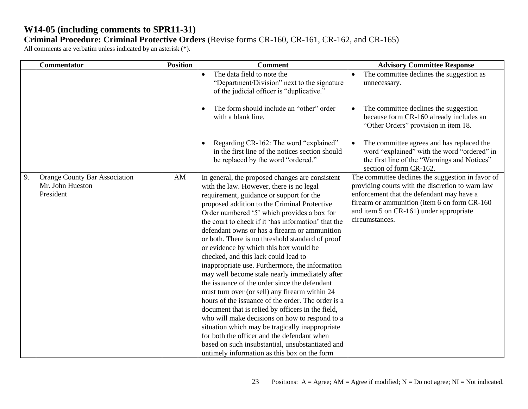|    | <b>Commentator</b>                                                    | <b>Position</b> | <b>Comment</b>                                                                                                                                                                                                                                                                                                                                                                                                                                                                                                                                                                                                                                                                                                                                                                                                                                                                                                                                                                                                                                                  | <b>Advisory Committee Response</b>                                                                                                                                                                                                                               |
|----|-----------------------------------------------------------------------|-----------------|-----------------------------------------------------------------------------------------------------------------------------------------------------------------------------------------------------------------------------------------------------------------------------------------------------------------------------------------------------------------------------------------------------------------------------------------------------------------------------------------------------------------------------------------------------------------------------------------------------------------------------------------------------------------------------------------------------------------------------------------------------------------------------------------------------------------------------------------------------------------------------------------------------------------------------------------------------------------------------------------------------------------------------------------------------------------|------------------------------------------------------------------------------------------------------------------------------------------------------------------------------------------------------------------------------------------------------------------|
|    |                                                                       |                 | The data field to note the<br>$\bullet$<br>"Department/Division" next to the signature<br>of the judicial officer is "duplicative."                                                                                                                                                                                                                                                                                                                                                                                                                                                                                                                                                                                                                                                                                                                                                                                                                                                                                                                             | The committee declines the suggestion as<br>$\bullet$<br>unnecessary.                                                                                                                                                                                            |
|    |                                                                       |                 | The form should include an "other" order<br>$\bullet$<br>with a blank line.                                                                                                                                                                                                                                                                                                                                                                                                                                                                                                                                                                                                                                                                                                                                                                                                                                                                                                                                                                                     | The committee declines the suggestion<br>$\bullet$<br>because form CR-160 already includes an<br>"Other Orders" provision in item 18.                                                                                                                            |
|    |                                                                       |                 | Regarding CR-162: The word "explained"<br>in the first line of the notices section should<br>be replaced by the word "ordered."                                                                                                                                                                                                                                                                                                                                                                                                                                                                                                                                                                                                                                                                                                                                                                                                                                                                                                                                 | The committee agrees and has replaced the<br>word "explained" with the word "ordered" in<br>the first line of the "Warnings and Notices"<br>section of form CR-162.                                                                                              |
| 9. | <b>Orange County Bar Association</b><br>Mr. John Hueston<br>President | AM              | In general, the proposed changes are consistent<br>with the law. However, there is no legal<br>requirement, guidance or support for the<br>proposed addition to the Criminal Protective<br>Order numbered '5' which provides a box for<br>the court to check if it 'has information' that the<br>defendant owns or has a firearm or ammunition<br>or both. There is no threshold standard of proof<br>or evidence by which this box would be<br>checked, and this lack could lead to<br>inappropriate use. Furthermore, the information<br>may well become stale nearly immediately after<br>the issuance of the order since the defendant<br>must turn over (or sell) any firearm within 24<br>hours of the issuance of the order. The order is a<br>document that is relied by officers in the field,<br>who will make decisions on how to respond to a<br>situation which may be tragically inappropriate<br>for both the officer and the defendant when<br>based on such insubstantial, unsubstantiated and<br>untimely information as this box on the form | The committee declines the suggestion in favor of<br>providing courts with the discretion to warn law<br>enforcement that the defendant may have a<br>firearm or ammunition (item 6 on form CR-160)<br>and item 5 on CR-161) under appropriate<br>circumstances. |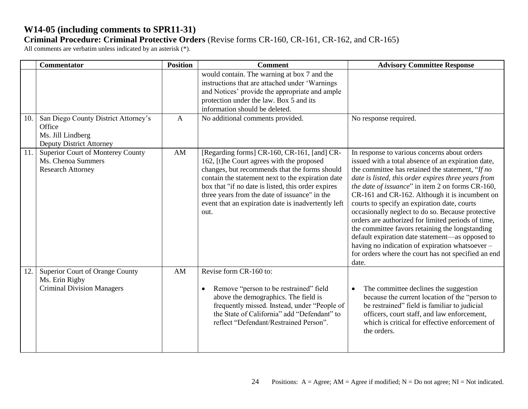|     | <b>Commentator</b>                                                                                     | <b>Position</b> | <b>Comment</b>                                                                                                                                                                                                                                                                                                                                                       | <b>Advisory Committee Response</b>                                                                                                                                                                                                                                                                                                                                                                                                                                                                                                                                                                                                                                                                      |
|-----|--------------------------------------------------------------------------------------------------------|-----------------|----------------------------------------------------------------------------------------------------------------------------------------------------------------------------------------------------------------------------------------------------------------------------------------------------------------------------------------------------------------------|---------------------------------------------------------------------------------------------------------------------------------------------------------------------------------------------------------------------------------------------------------------------------------------------------------------------------------------------------------------------------------------------------------------------------------------------------------------------------------------------------------------------------------------------------------------------------------------------------------------------------------------------------------------------------------------------------------|
|     |                                                                                                        |                 | would contain. The warning at box 7 and the<br>instructions that are attached under 'Warnings<br>and Notices' provide the appropriate and ample<br>protection under the law. Box 5 and its<br>information should be deleted.                                                                                                                                         |                                                                                                                                                                                                                                                                                                                                                                                                                                                                                                                                                                                                                                                                                                         |
| 10. | San Diego County District Attorney's<br>Office<br>Ms. Jill Lindberg<br><b>Deputy District Attorney</b> | $\mathbf{A}$    | No additional comments provided.                                                                                                                                                                                                                                                                                                                                     | No response required.                                                                                                                                                                                                                                                                                                                                                                                                                                                                                                                                                                                                                                                                                   |
| 11. | Superior Court of Monterey County<br>Ms. Chenoa Summers<br><b>Research Attorney</b>                    | AM              | [Regarding forms] CR-160, CR-161, [and] CR-<br>162, [t]he Court agrees with the proposed<br>changes, but recommends that the forms should<br>contain the statement next to the expiration date<br>box that "if no date is listed, this order expires<br>three years from the date of issuance" in the<br>event that an expiration date is inadvertently left<br>out. | In response to various concerns about orders<br>issued with a total absence of an expiration date,<br>the committee has retained the statement, "If no<br>date is listed, this order expires three years from<br>the date of issuance" in item 2 on forms CR-160,<br>CR-161 and CR-162. Although it is incumbent on<br>courts to specify an expiration date, courts<br>occasionally neglect to do so. Because protective<br>orders are authorized for limited periods of time,<br>the committee favors retaining the longstanding<br>default expiration date statement-as opposed to<br>having no indication of expiration whatsoever -<br>for orders where the court has not specified an end<br>date. |
| 12. | Superior Court of Orange County<br>Ms. Erin Rigby<br><b>Criminal Division Managers</b>                 | AM              | Revise form CR-160 to:<br>Remove "person to be restrained" field<br>$\bullet$<br>above the demographics. The field is<br>frequently missed. Instead, under "People of<br>the State of California" add "Defendant" to<br>reflect "Defendant/Restrained Person".                                                                                                       | The committee declines the suggestion<br>$\bullet$<br>because the current location of the "person to<br>be restrained" field is familiar to judicial<br>officers, court staff, and law enforcement,<br>which is critical for effective enforcement of<br>the orders.                                                                                                                                                                                                                                                                                                                                                                                                                                    |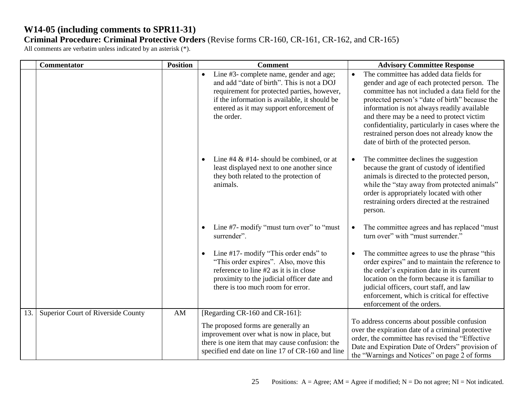|     | <b>Commentator</b>                 | <b>Position</b> | <b>Comment</b>                                                                                                                                                                                                                                  | <b>Advisory Committee Response</b>                                                                                                                                                                                                                                                                                                                                                                                                                 |
|-----|------------------------------------|-----------------|-------------------------------------------------------------------------------------------------------------------------------------------------------------------------------------------------------------------------------------------------|----------------------------------------------------------------------------------------------------------------------------------------------------------------------------------------------------------------------------------------------------------------------------------------------------------------------------------------------------------------------------------------------------------------------------------------------------|
|     |                                    |                 | Line #3- complete name, gender and age;<br>and add "date of birth". This is not a DOJ<br>requirement for protected parties, however,<br>if the information is available, it should be<br>entered as it may support enforcement of<br>the order. | The committee has added data fields for<br>$\bullet$<br>gender and age of each protected person. The<br>committee has not included a data field for the<br>protected person's "date of birth" because the<br>information is not always readily available<br>and there may be a need to protect victim<br>confidentiality, particularly in cases where the<br>restrained person does not already know the<br>date of birth of the protected person. |
|     |                                    |                 | Line #4 $\&$ #14- should be combined, or at<br>least displayed next to one another since<br>they both related to the protection of<br>animals.                                                                                                  | The committee declines the suggestion<br>$\bullet$<br>because the grant of custody of identified<br>animals is directed to the protected person,<br>while the "stay away from protected animals"<br>order is appropriately located with other<br>restraining orders directed at the restrained<br>person.                                                                                                                                          |
|     |                                    |                 | Line #7- modify "must turn over" to "must"<br>$\bullet$<br>surrender".                                                                                                                                                                          | The committee agrees and has replaced "must"<br>$\bullet$<br>turn over" with "must surrender."                                                                                                                                                                                                                                                                                                                                                     |
|     |                                    |                 | Line #17- modify "This order ends" to<br>٠<br>"This order expires". Also, move this<br>reference to line #2 as it is in close<br>proximity to the judicial officer date and<br>there is too much room for error.                                | The committee agrees to use the phrase "this<br>$\bullet$<br>order expires" and to maintain the reference to<br>the order's expiration date in its current<br>location on the form because it is familiar to<br>judicial officers, court staff, and law<br>enforcement, which is critical for effective<br>enforcement of the orders.                                                                                                              |
| 13. | Superior Court of Riverside County | AM              | [Regarding CR-160 and CR-161]:<br>The proposed forms are generally an                                                                                                                                                                           | To address concerns about possible confusion                                                                                                                                                                                                                                                                                                                                                                                                       |
|     |                                    |                 | improvement over what is now in place, but<br>there is one item that may cause confusion: the<br>specified end date on line 17 of CR-160 and line                                                                                               | over the expiration date of a criminal protective<br>order, the committee has revised the "Effective<br>Date and Expiration Date of Orders" provision of<br>the "Warnings and Notices" on page 2 of forms                                                                                                                                                                                                                                          |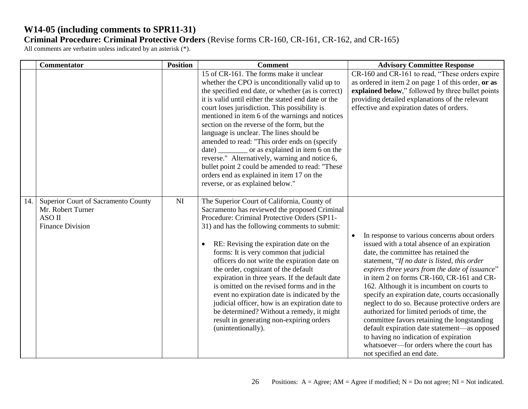|     | <b>Commentator</b>                                                                            | <b>Position</b> | <b>Comment</b>                                                                                                                                                                                                                                                                                                                                                                                                                                                                                                                                                                                                                                                                                          | <b>Advisory Committee Response</b>                                                                                                                                                                                                                                                                                                                                                                                                                                                                                                                                                                                                                                                                        |
|-----|-----------------------------------------------------------------------------------------------|-----------------|---------------------------------------------------------------------------------------------------------------------------------------------------------------------------------------------------------------------------------------------------------------------------------------------------------------------------------------------------------------------------------------------------------------------------------------------------------------------------------------------------------------------------------------------------------------------------------------------------------------------------------------------------------------------------------------------------------|-----------------------------------------------------------------------------------------------------------------------------------------------------------------------------------------------------------------------------------------------------------------------------------------------------------------------------------------------------------------------------------------------------------------------------------------------------------------------------------------------------------------------------------------------------------------------------------------------------------------------------------------------------------------------------------------------------------|
|     |                                                                                               |                 | 15 of CR-161. The forms make it unclear<br>whether the CPO is unconditionally valid up to<br>the specified end date, or whether (as is correct)<br>it is valid until either the stated end date or the<br>court loses jurisdiction. This possibility is<br>mentioned in item 6 of the warnings and notices<br>section on the reverse of the form, but the<br>language is unclear. The lines should be<br>amended to read: "This order ends on (specify<br>date) _________ or as explained in item 6 on the<br>reverse." Alternatively, warning and notice 6,<br>bullet point 2 could be amended to read: "These<br>orders end as explained in item 17 on the<br>reverse, or as explained below."        | CR-160 and CR-161 to read, "These orders expire<br>as ordered in item 2 on page 1 of this order, or as<br>explained below," followed by three bullet points<br>providing detailed explanations of the relevant<br>effective and expiration dates of orders.                                                                                                                                                                                                                                                                                                                                                                                                                                               |
| 14. | Superior Court of Sacramento County<br>Mr. Robert Turner<br>ASO II<br><b>Finance Division</b> | <b>NI</b>       | The Superior Court of California, County of<br>Sacramento has reviewed the proposed Criminal<br>Procedure: Criminal Protective Orders (SP11-<br>31) and has the following comments to submit:<br>RE: Revising the expiration date on the<br>$\bullet$<br>forms: It is very common that judicial<br>officers do not write the expiration date on<br>the order, cognizant of the default<br>expiration in three years. If the default date<br>is omitted on the revised forms and in the<br>event no expiration date is indicated by the<br>judicial officer, how is an expiration date to<br>be determined? Without a remedy, it might<br>result in generating non-expiring orders<br>(unintentionally). | In response to various concerns about orders<br>issued with a total absence of an expiration<br>date, the committee has retained the<br>statement, "If no date is listed, this order<br>expires three years from the date of issuance"<br>in item 2 on forms CR-160, CR-161 and CR-<br>162. Although it is incumbent on courts to<br>specify an expiration date, courts occasionally<br>neglect to do so. Because protective orders are<br>authorized for limited periods of time, the<br>committee favors retaining the longstanding<br>default expiration date statement-as opposed<br>to having no indication of expiration<br>whatsoever—for orders where the court has<br>not specified an end date. |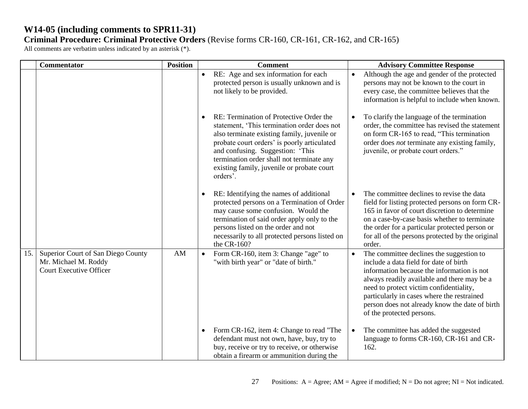|     | Commentator                                                                                  | <b>Position</b> | <b>Comment</b>                                                                                                                                                                                                                                                                                                                               | <b>Advisory Committee Response</b>                                                                                                                                                                                                                                                                                                                                   |
|-----|----------------------------------------------------------------------------------------------|-----------------|----------------------------------------------------------------------------------------------------------------------------------------------------------------------------------------------------------------------------------------------------------------------------------------------------------------------------------------------|----------------------------------------------------------------------------------------------------------------------------------------------------------------------------------------------------------------------------------------------------------------------------------------------------------------------------------------------------------------------|
|     |                                                                                              |                 | RE: Age and sex information for each<br>$\bullet$<br>protected person is usually unknown and is<br>not likely to be provided.                                                                                                                                                                                                                | Although the age and gender of the protected<br>$\bullet$<br>persons may not be known to the court in<br>every case, the committee believes that the<br>information is helpful to include when known.                                                                                                                                                                |
|     |                                                                                              |                 | RE: Termination of Protective Order the<br>$\bullet$<br>statement, 'This termination order does not<br>also terminate existing family, juvenile or<br>probate court orders' is poorly articulated<br>and confusing. Suggestion: 'This<br>termination order shall not terminate any<br>existing family, juvenile or probate court<br>orders'. | To clarify the language of the termination<br>$\bullet$<br>order, the committee has revised the statement<br>on form CR-165 to read, "This termination<br>order does <i>not</i> terminate any existing family,<br>juvenile, or probate court orders."                                                                                                                |
|     |                                                                                              |                 | RE: Identifying the names of additional<br>$\bullet$<br>protected persons on a Termination of Order<br>may cause some confusion. Would the<br>termination of said order apply only to the<br>persons listed on the order and not<br>necessarily to all protected persons listed on<br>the CR-160?                                            | The committee declines to revise the data<br>$\bullet$<br>field for listing protected persons on form CR-<br>165 in favor of court discretion to determine<br>on a case-by-case basis whether to terminate<br>the order for a particular protected person or<br>for all of the persons protected by the original<br>order.                                           |
| 15. | Superior Court of San Diego County<br>Mr. Michael M. Roddy<br><b>Court Executive Officer</b> | AM              | Form CR-160, item 3: Change "age" to<br>$\bullet$<br>"with birth year" or "date of birth."                                                                                                                                                                                                                                                   | The committee declines the suggestion to<br>$\bullet$<br>include a data field for date of birth<br>information because the information is not<br>always readily available and there may be a<br>need to protect victim confidentiality,<br>particularly in cases where the restrained<br>person does not already know the date of birth<br>of the protected persons. |
|     |                                                                                              |                 | Form CR-162, item 4: Change to read "The<br>$\bullet$<br>defendant must not own, have, buy, try to<br>buy, receive or try to receive, or otherwise<br>obtain a firearm or ammunition during the                                                                                                                                              | The committee has added the suggested<br>$\bullet$<br>language to forms CR-160, CR-161 and CR-<br>162.                                                                                                                                                                                                                                                               |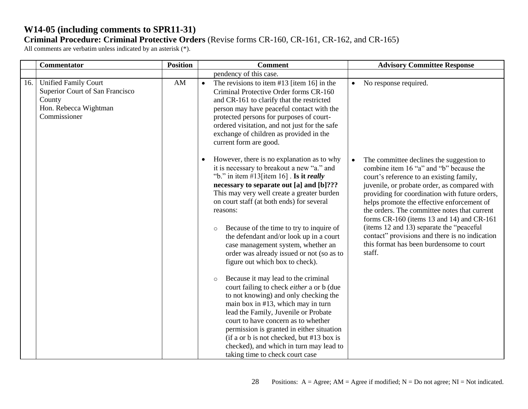|     | Commentator                                                                                                       | <b>Position</b> | <b>Comment</b>                                                                                                                                                                                                                                                                                                                                                                                                                                                                                                                                                                                                                                                                                                                                                                                                                                                                                                                                                                        | <b>Advisory Committee Response</b>                                                                                                                                                                                                                                                                                                                                                                                                                                                                                                            |
|-----|-------------------------------------------------------------------------------------------------------------------|-----------------|---------------------------------------------------------------------------------------------------------------------------------------------------------------------------------------------------------------------------------------------------------------------------------------------------------------------------------------------------------------------------------------------------------------------------------------------------------------------------------------------------------------------------------------------------------------------------------------------------------------------------------------------------------------------------------------------------------------------------------------------------------------------------------------------------------------------------------------------------------------------------------------------------------------------------------------------------------------------------------------|-----------------------------------------------------------------------------------------------------------------------------------------------------------------------------------------------------------------------------------------------------------------------------------------------------------------------------------------------------------------------------------------------------------------------------------------------------------------------------------------------------------------------------------------------|
|     |                                                                                                                   |                 | pendency of this case.                                                                                                                                                                                                                                                                                                                                                                                                                                                                                                                                                                                                                                                                                                                                                                                                                                                                                                                                                                |                                                                                                                                                                                                                                                                                                                                                                                                                                                                                                                                               |
| 16. | <b>Unified Family Court</b><br>Superior Court of San Francisco<br>County<br>Hon. Rebecca Wightman<br>Commissioner | AM              | The revisions to item $#13$ [item 16] in the<br>$\bullet$<br>Criminal Protective Order forms CR-160<br>and CR-161 to clarify that the restricted<br>person may have peaceful contact with the<br>protected persons for purposes of court-<br>ordered visitation, and not just for the safe<br>exchange of children as provided in the<br>current form are good.                                                                                                                                                                                                                                                                                                                                                                                                                                                                                                                                                                                                                       | No response required.<br>$\bullet$                                                                                                                                                                                                                                                                                                                                                                                                                                                                                                            |
|     |                                                                                                                   |                 | However, there is no explanation as to why<br>$\bullet$<br>it is necessary to breakout a new "a." and<br>"b." in item $\#13$ [item 16]. Is it <i>really</i><br>necessary to separate out [a] and [b]???<br>This may very well create a greater burden<br>on court staff (at both ends) for several<br>reasons:<br>Because of the time to try to inquire of<br>$\circ$<br>the defendant and/or look up in a court<br>case management system, whether an<br>order was already issued or not (so as to<br>figure out which box to check).<br>Because it may lead to the criminal<br>$\circ$<br>court failing to check <i>either</i> a or b (due<br>to not knowing) and only checking the<br>main box in $#13$ , which may in turn<br>lead the Family, Juvenile or Probate<br>court to have concern as to whether<br>permission is granted in either situation<br>(if a or b is not checked, but #13 box is<br>checked), and which in turn may lead to<br>taking time to check court case | The committee declines the suggestion to<br>$\bullet$<br>combine item 16 "a" and "b" because the<br>court's reference to an existing family,<br>juvenile, or probate order, as compared with<br>providing for coordination with future orders,<br>helps promote the effective enforcement of<br>the orders. The committee notes that current<br>forms CR-160 (items 13 and 14) and CR-161<br>(items 12 and 13) separate the "peaceful<br>contact" provisions and there is no indication<br>this format has been burdensome to court<br>staff. |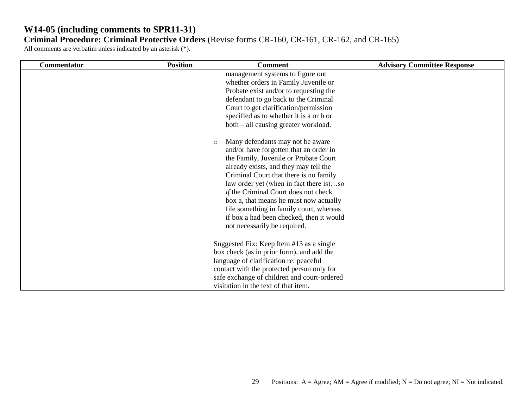| <b>Commentator</b> | <b>Position</b> | <b>Comment</b>                                                                                                                                                                                                                                                                                                                                                                                                                                                                                                                                                                                                                                                                                                                                                  | <b>Advisory Committee Response</b> |
|--------------------|-----------------|-----------------------------------------------------------------------------------------------------------------------------------------------------------------------------------------------------------------------------------------------------------------------------------------------------------------------------------------------------------------------------------------------------------------------------------------------------------------------------------------------------------------------------------------------------------------------------------------------------------------------------------------------------------------------------------------------------------------------------------------------------------------|------------------------------------|
|                    |                 | management systems to figure out<br>whether orders in Family Juvenile or<br>Probate exist and/or to requesting the<br>defendant to go back to the Criminal<br>Court to get clarification/permission<br>specified as to whether it is a or b or<br>both – all causing greater workload.<br>Many defendants may not be aware<br>$\circ$<br>and/or have forgotten that an order in<br>the Family, Juvenile or Probate Court<br>already exists, and they may tell the<br>Criminal Court that there is no family<br>law order yet (when in fact there is)so<br>if the Criminal Court does not check<br>box a, that means he must now actually<br>file something in family court, whereas<br>if box a had been checked, then it would<br>not necessarily be required. |                                    |
|                    |                 | Suggested Fix: Keep Item #13 as a single<br>box check (as in prior form), and add the<br>language of clarification re: peaceful<br>contact with the protected person only for<br>safe exchange of children and court-ordered<br>visitation in the text of that item.                                                                                                                                                                                                                                                                                                                                                                                                                                                                                            |                                    |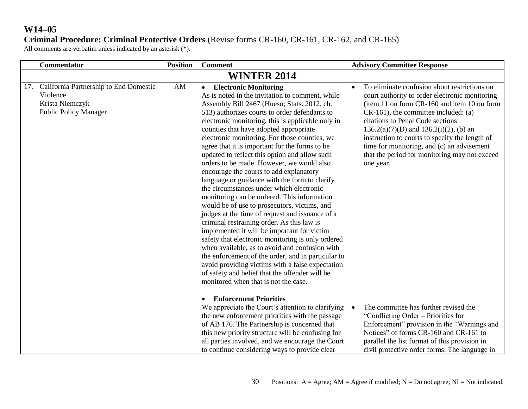## **Criminal Procedure: Criminal Protective Orders** (Revise forms CR-160, CR-161, CR-162, and CR-165)

|     | <b>Commentator</b>                                                                                    | <b>Position</b> | <b>Comment</b>                                                                                                                                                                                                                                                                                                                                                                                                                                                                                                                                                                                                                                                                                                                                                                                                                                                                                                                                                                                                                                                                                                                                                                                 | <b>Advisory Committee Response</b>                                                                                                                                                                                                                                                                                                                                                                                                                    |
|-----|-------------------------------------------------------------------------------------------------------|-----------------|------------------------------------------------------------------------------------------------------------------------------------------------------------------------------------------------------------------------------------------------------------------------------------------------------------------------------------------------------------------------------------------------------------------------------------------------------------------------------------------------------------------------------------------------------------------------------------------------------------------------------------------------------------------------------------------------------------------------------------------------------------------------------------------------------------------------------------------------------------------------------------------------------------------------------------------------------------------------------------------------------------------------------------------------------------------------------------------------------------------------------------------------------------------------------------------------|-------------------------------------------------------------------------------------------------------------------------------------------------------------------------------------------------------------------------------------------------------------------------------------------------------------------------------------------------------------------------------------------------------------------------------------------------------|
|     |                                                                                                       |                 | <b>WINTER 2014</b>                                                                                                                                                                                                                                                                                                                                                                                                                                                                                                                                                                                                                                                                                                                                                                                                                                                                                                                                                                                                                                                                                                                                                                             |                                                                                                                                                                                                                                                                                                                                                                                                                                                       |
| 17. | California Partnership to End Domestic<br>Violence<br>Krista Niemczyk<br><b>Public Policy Manager</b> | AM              | <b>Electronic Monitoring</b><br>$\bullet$<br>As is noted in the invitation to comment, while<br>Assembly Bill 2467 (Hueso; Stats. 2012, ch.<br>513) authorizes courts to order defendants to<br>electronic monitoring, this is applicable only in<br>counties that have adopted appropriate<br>electronic monitoring. For those counties, we<br>agree that it is important for the forms to be<br>updated to reflect this option and allow such<br>orders to be made. However, we would also<br>encourage the courts to add explanatory<br>language or guidance with the form to clarify<br>the circumstances under which electronic<br>monitoring can be ordered. This information<br>would be of use to prosecutors, victims, and<br>judges at the time of request and issuance of a<br>criminal restraining order. As this law is<br>implemented it will be important for victim<br>safety that electronic monitoring is only ordered<br>when available, as to avoid and confusion with<br>the enforcement of the order, and in particular to<br>avoid providing victims with a false expectation<br>of safety and belief that the offender will be<br>monitored when that is not the case. | To eliminate confusion about restrictions on<br>$\bullet$<br>court authority to order electronic monitoring<br>(item 11 on form CR-160 and item 10 on form<br>$CR-161$ , the committee included: (a)<br>citations to Penal Code sections<br>$136.2(a)(7)(D)$ and $136.2(i)(2)$ , (b) an<br>instruction to courts to specify the length of<br>time for monitoring, and (c) an advisement<br>that the period for monitoring may not exceed<br>one year. |
|     |                                                                                                       |                 | <b>Enforcement Priorities</b><br>$\bullet$<br>We appreciate the Court's attention to clarifying<br>the new enforcement priorities with the passage<br>of AB 176. The Partnership is concerned that<br>this new priority structure will be confusing for<br>all parties involved, and we encourage the Court<br>to continue considering ways to provide clear                                                                                                                                                                                                                                                                                                                                                                                                                                                                                                                                                                                                                                                                                                                                                                                                                                   | The committee has further revised the<br>$\bullet$<br>"Conflicting Order – Priorities for<br>Enforcement" provision in the "Warnings and<br>Notices" of forms CR-160 and CR-161 to<br>parallel the list format of this provision in<br>civil protective order forms. The language in                                                                                                                                                                  |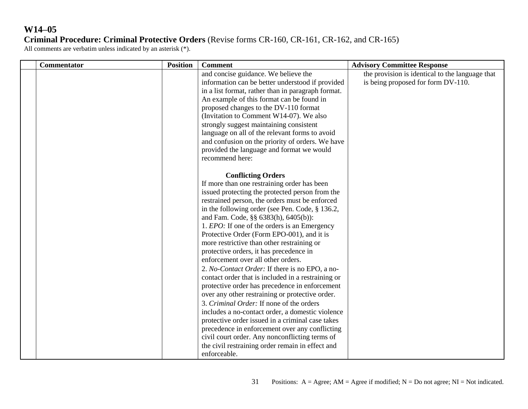# **W14–05 Criminal Procedure: Criminal Protective Orders** (Revise forms CR-160, CR-161, CR-162, and CR-165)

| Commentator | <b>Position</b> | <b>Comment</b>                                                                                                                                                                                                                                                                                                                                                                                                                                                                                                                                                                                                                                                                                                                                                                                                                                                                                                                                                                                                                                         | <b>Advisory Committee Response</b>                                                    |
|-------------|-----------------|--------------------------------------------------------------------------------------------------------------------------------------------------------------------------------------------------------------------------------------------------------------------------------------------------------------------------------------------------------------------------------------------------------------------------------------------------------------------------------------------------------------------------------------------------------------------------------------------------------------------------------------------------------------------------------------------------------------------------------------------------------------------------------------------------------------------------------------------------------------------------------------------------------------------------------------------------------------------------------------------------------------------------------------------------------|---------------------------------------------------------------------------------------|
|             |                 | and concise guidance. We believe the<br>information can be better understood if provided<br>in a list format, rather than in paragraph format.<br>An example of this format can be found in<br>proposed changes to the DV-110 format<br>(Invitation to Comment W14-07). We also<br>strongly suggest maintaining consistent<br>language on all of the relevant forms to avoid<br>and confusion on the priority of orders. We have<br>provided the language and format we would<br>recommend here:                                                                                                                                                                                                                                                                                                                                                                                                                                                                                                                                                       | the provision is identical to the language that<br>is being proposed for form DV-110. |
|             |                 | <b>Conflicting Orders</b><br>If more than one restraining order has been<br>issued protecting the protected person from the<br>restrained person, the orders must be enforced<br>in the following order (see Pen. Code, § 136.2,<br>and Fam. Code, §§ 6383(h), 6405(b)):<br>1. <i>EPO</i> : If one of the orders is an Emergency<br>Protective Order (Form EPO-001), and it is<br>more restrictive than other restraining or<br>protective orders, it has precedence in<br>enforcement over all other orders.<br>2. No-Contact Order: If there is no EPO, a no-<br>contact order that is included in a restraining or<br>protective order has precedence in enforcement<br>over any other restraining or protective order.<br>3. Criminal Order: If none of the orders<br>includes a no-contact order, a domestic violence<br>protective order issued in a criminal case takes<br>precedence in enforcement over any conflicting<br>civil court order. Any nonconflicting terms of<br>the civil restraining order remain in effect and<br>enforceable. |                                                                                       |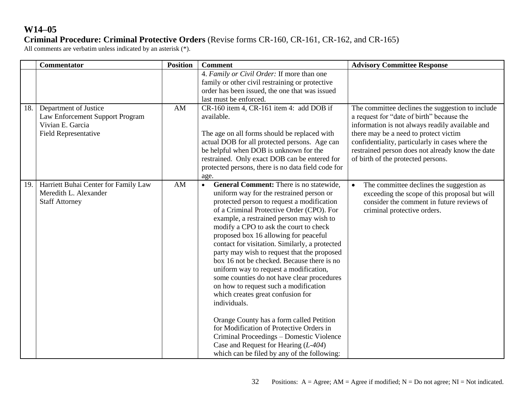## **Criminal Procedure: Criminal Protective Orders** (Revise forms CR-160, CR-161, CR-162, and CR-165)

|     | Commentator                                                                                          | <b>Position</b> | <b>Comment</b>                                                                                                                                                                                                                                                                                                                                                                                                                                                                                                                                                                                                                                                                                                                                                                                                                                                                                      | <b>Advisory Committee Response</b>                                                                                                                                                                                                                                                                                                      |
|-----|------------------------------------------------------------------------------------------------------|-----------------|-----------------------------------------------------------------------------------------------------------------------------------------------------------------------------------------------------------------------------------------------------------------------------------------------------------------------------------------------------------------------------------------------------------------------------------------------------------------------------------------------------------------------------------------------------------------------------------------------------------------------------------------------------------------------------------------------------------------------------------------------------------------------------------------------------------------------------------------------------------------------------------------------------|-----------------------------------------------------------------------------------------------------------------------------------------------------------------------------------------------------------------------------------------------------------------------------------------------------------------------------------------|
|     |                                                                                                      |                 | 4. Family or Civil Order: If more than one<br>family or other civil restraining or protective<br>order has been issued, the one that was issued<br>last must be enforced.                                                                                                                                                                                                                                                                                                                                                                                                                                                                                                                                                                                                                                                                                                                           |                                                                                                                                                                                                                                                                                                                                         |
| 18. | Department of Justice<br>Law Enforcement Support Program<br>Vivian E. Garcia<br>Field Representative | AM              | CR-160 item 4, CR-161 item 4: add DOB if<br>available.<br>The age on all forms should be replaced with<br>actual DOB for all protected persons. Age can<br>be helpful when DOB is unknown for the<br>restrained. Only exact DOB can be entered for<br>protected persons, there is no data field code for<br>age.                                                                                                                                                                                                                                                                                                                                                                                                                                                                                                                                                                                    | The committee declines the suggestion to include<br>a request for "date of birth" because the<br>information is not always readily available and<br>there may be a need to protect victim<br>confidentiality, particularly in cases where the<br>restrained person does not already know the date<br>of birth of the protected persons. |
| 19. | Harriett Buhai Center for Family Law<br>Meredith L. Alexander<br><b>Staff Attorney</b>               | AM              | <b>General Comment:</b> There is no statewide,<br>$\bullet$<br>uniform way for the restrained person or<br>protected person to request a modification<br>of a Criminal Protective Order (CPO). For<br>example, a restrained person may wish to<br>modify a CPO to ask the court to check<br>proposed box 16 allowing for peaceful<br>contact for visitation. Similarly, a protected<br>party may wish to request that the proposed<br>box 16 not be checked. Because there is no<br>uniform way to request a modification,<br>some counties do not have clear procedures<br>on how to request such a modification<br>which creates great confusion for<br>individuals.<br>Orange County has a form called Petition<br>for Modification of Protective Orders in<br>Criminal Proceedings - Domestic Violence<br>Case and Request for Hearing $(L-404)$<br>which can be filed by any of the following: | The committee declines the suggestion as<br>$\bullet$<br>exceeding the scope of this proposal but will<br>consider the comment in future reviews of<br>criminal protective orders.                                                                                                                                                      |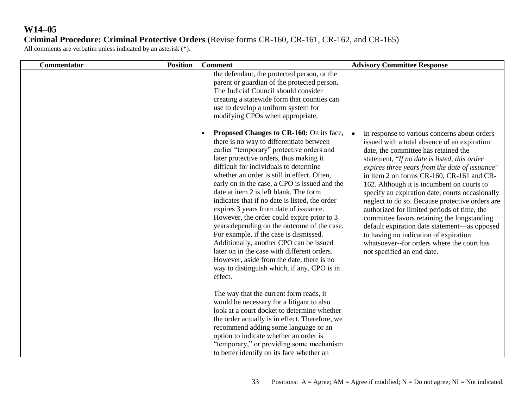# **W14–05 Criminal Procedure: Criminal Protective Orders** (Revise forms CR-160, CR-161, CR-162, and CR-165)

| <b>Commentator</b> | <b>Position</b> | <b>Comment</b>                                                                                                                                                                                                                                                                                                                                                                                                                                                                                                                                                                                                                                                                                                                                                                                       | <b>Advisory Committee Response</b>                                                                                                                                                                                                                                                                                                                                                                                                                                                                                                                                                                                                                                                                                      |
|--------------------|-----------------|------------------------------------------------------------------------------------------------------------------------------------------------------------------------------------------------------------------------------------------------------------------------------------------------------------------------------------------------------------------------------------------------------------------------------------------------------------------------------------------------------------------------------------------------------------------------------------------------------------------------------------------------------------------------------------------------------------------------------------------------------------------------------------------------------|-------------------------------------------------------------------------------------------------------------------------------------------------------------------------------------------------------------------------------------------------------------------------------------------------------------------------------------------------------------------------------------------------------------------------------------------------------------------------------------------------------------------------------------------------------------------------------------------------------------------------------------------------------------------------------------------------------------------------|
|                    |                 | the defendant, the protected person, or the<br>parent or guardian of the protected person.<br>The Judicial Council should consider<br>creating a statewide form that counties can<br>use to develop a uniform system for<br>modifying CPOs when appropriate.                                                                                                                                                                                                                                                                                                                                                                                                                                                                                                                                         |                                                                                                                                                                                                                                                                                                                                                                                                                                                                                                                                                                                                                                                                                                                         |
|                    |                 | Proposed Changes to CR-160: On its face,<br>there is no way to differentiate between<br>earlier "temporary" protective orders and<br>later protective orders, thus making it<br>difficult for individuals to determine<br>whether an order is still in effect. Often,<br>early on in the case, a CPO is issued and the<br>date at item 2 is left blank. The form<br>indicates that if no date is listed, the order<br>expires 3 years from date of issuance.<br>However, the order could expire prior to 3<br>years depending on the outcome of the case.<br>For example, if the case is dismissed.<br>Additionally, another CPO can be issued<br>later on in the case with different orders.<br>However, aside from the date, there is no<br>way to distinguish which, if any, CPO is in<br>effect. | In response to various concerns about orders<br>$\bullet$<br>issued with a total absence of an expiration<br>date, the committee has retained the<br>statement, "If no date is listed, this order<br>expires three years from the date of issuance"<br>in item 2 on forms CR-160, CR-161 and CR-<br>162. Although it is incumbent on courts to<br>specify an expiration date, courts occasionally<br>neglect to do so. Because protective orders are<br>authorized for limited periods of time, the<br>committee favors retaining the longstanding<br>default expiration date statement-as opposed<br>to having no indication of expiration<br>whatsoever--for orders where the court has<br>not specified an end date. |
|                    |                 | The way that the current form reads, it<br>would be necessary for a litigant to also<br>look at a court docket to determine whether<br>the order actually is in effect. Therefore, we                                                                                                                                                                                                                                                                                                                                                                                                                                                                                                                                                                                                                |                                                                                                                                                                                                                                                                                                                                                                                                                                                                                                                                                                                                                                                                                                                         |
|                    |                 | recommend adding some language or an<br>option to indicate whether an order is<br>"temporary," or providing some mechanism<br>to better identify on its face whether an                                                                                                                                                                                                                                                                                                                                                                                                                                                                                                                                                                                                                              |                                                                                                                                                                                                                                                                                                                                                                                                                                                                                                                                                                                                                                                                                                                         |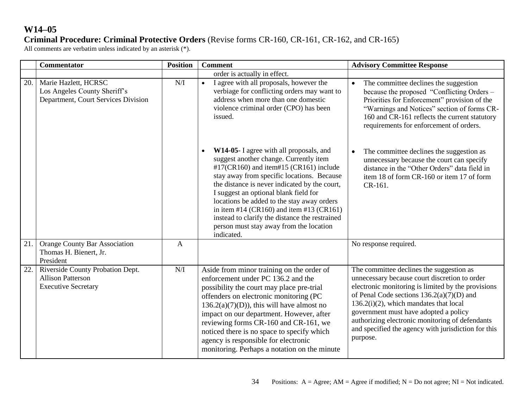## **Criminal Procedure: Criminal Protective Orders** (Revise forms CR-160, CR-161, CR-162, and CR-165)

|     | <b>Commentator</b>                                                                          | <b>Position</b> | <b>Comment</b>                                                                                                                                                                                                                                                                                                                                                                                                                                                                        | <b>Advisory Committee Response</b>                                                                                                                                                                                                                                                                                                                                                                         |
|-----|---------------------------------------------------------------------------------------------|-----------------|---------------------------------------------------------------------------------------------------------------------------------------------------------------------------------------------------------------------------------------------------------------------------------------------------------------------------------------------------------------------------------------------------------------------------------------------------------------------------------------|------------------------------------------------------------------------------------------------------------------------------------------------------------------------------------------------------------------------------------------------------------------------------------------------------------------------------------------------------------------------------------------------------------|
|     |                                                                                             |                 | order is actually in effect.                                                                                                                                                                                                                                                                                                                                                                                                                                                          |                                                                                                                                                                                                                                                                                                                                                                                                            |
| 20. | Marie Hazlett, HCRSC<br>Los Angeles County Sheriff's<br>Department, Court Services Division | N/I             | I agree with all proposals, however the<br>$\bullet$<br>verbiage for conflicting orders may want to<br>address when more than one domestic<br>violence criminal order (CPO) has been<br>issued.                                                                                                                                                                                                                                                                                       | The committee declines the suggestion<br>$\bullet$<br>because the proposed "Conflicting Orders -<br>Priorities for Enforcement" provision of the<br>"Warnings and Notices" section of forms CR-<br>160 and CR-161 reflects the current statutory<br>requirements for enforcement of orders.                                                                                                                |
|     |                                                                                             |                 | W14-05- I agree with all proposals, and<br>$\bullet$<br>suggest another change. Currently item<br>#17(CR160) and item#15 (CR161) include<br>stay away from specific locations. Because<br>the distance is never indicated by the court,<br>I suggest an optional blank field for<br>locations be added to the stay away orders<br>in item #14 (CR160) and item #13 (CR161)<br>instead to clarify the distance the restrained<br>person must stay away from the location<br>indicated. | The committee declines the suggestion as<br>unnecessary because the court can specify<br>distance in the "Other Orders" data field in<br>item 18 of form CR-160 or item 17 of form<br>CR-161.                                                                                                                                                                                                              |
| 21  | <b>Orange County Bar Association</b><br>Thomas H. Bienert, Jr.<br>President                 | $\mathbf{A}$    |                                                                                                                                                                                                                                                                                                                                                                                                                                                                                       | No response required.                                                                                                                                                                                                                                                                                                                                                                                      |
| 22. | Riverside County Probation Dept.<br><b>Allison Patterson</b><br><b>Executive Secretary</b>  | N/I             | Aside from minor training on the order of<br>enforcement under PC 136.2 and the<br>possibility the court may place pre-trial<br>offenders on electronic monitoring (PC<br>$136.2(a)(7)(D)$ , this will have almost no<br>impact on our department. However, after<br>reviewing forms CR-160 and CR-161, we<br>noticed there is no space to specify which<br>agency is responsible for electronic<br>monitoring. Perhaps a notation on the minute                                      | The committee declines the suggestion as<br>unnecessary because court discretion to order<br>electronic monitoring is limited by the provisions<br>of Penal Code sections $136.2(a)(7)(D)$ and<br>$136.2(i)(2)$ , which mandates that local<br>government must have adopted a policy<br>authorizing electronic monitoring of defendants<br>and specified the agency with jurisdiction for this<br>purpose. |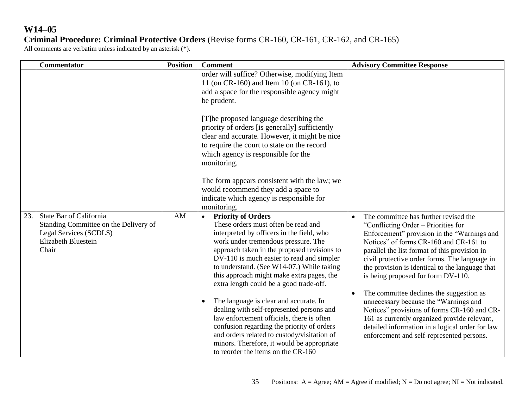## **Criminal Procedure: Criminal Protective Orders** (Revise forms CR-160, CR-161, CR-162, and CR-165)

|     | <b>Commentator</b>                                                                                                         | <b>Position</b> | <b>Comment</b>                                                                                                                                                                                                                                                                                                                                                                                     | <b>Advisory Committee Response</b>                                                                                                                                                                                                                                                                                                                                            |
|-----|----------------------------------------------------------------------------------------------------------------------------|-----------------|----------------------------------------------------------------------------------------------------------------------------------------------------------------------------------------------------------------------------------------------------------------------------------------------------------------------------------------------------------------------------------------------------|-------------------------------------------------------------------------------------------------------------------------------------------------------------------------------------------------------------------------------------------------------------------------------------------------------------------------------------------------------------------------------|
|     |                                                                                                                            |                 | order will suffice? Otherwise, modifying Item<br>11 (on CR-160) and Item 10 (on CR-161), to<br>add a space for the responsible agency might<br>be prudent.                                                                                                                                                                                                                                         |                                                                                                                                                                                                                                                                                                                                                                               |
|     |                                                                                                                            |                 | [T] he proposed language describing the<br>priority of orders [is generally] sufficiently<br>clear and accurate. However, it might be nice<br>to require the court to state on the record<br>which agency is responsible for the<br>monitoring.                                                                                                                                                    |                                                                                                                                                                                                                                                                                                                                                                               |
|     |                                                                                                                            |                 | The form appears consistent with the law; we<br>would recommend they add a space to<br>indicate which agency is responsible for<br>monitoring.                                                                                                                                                                                                                                                     |                                                                                                                                                                                                                                                                                                                                                                               |
| 23. | State Bar of California<br>Standing Committee on the Delivery of<br>Legal Services (SCDLS)<br>Elizabeth Bluestein<br>Chair | AM              | <b>Priority of Orders</b><br>$\bullet$<br>These orders must often be read and<br>interpreted by officers in the field, who<br>work under tremendous pressure. The<br>approach taken in the proposed revisions to<br>DV-110 is much easier to read and simpler<br>to understand. (See W14-07.) While taking<br>this approach might make extra pages, the<br>extra length could be a good trade-off. | The committee has further revised the<br>$\bullet$<br>"Conflicting Order – Priorities for<br>Enforcement" provision in the "Warnings and<br>Notices" of forms CR-160 and CR-161 to<br>parallel the list format of this provision in<br>civil protective order forms. The language in<br>the provision is identical to the language that<br>is being proposed for form DV-110. |
|     |                                                                                                                            |                 | The language is clear and accurate. In<br>$\bullet$<br>dealing with self-represented persons and<br>law enforcement officials, there is often<br>confusion regarding the priority of orders<br>and orders related to custody/visitation of<br>minors. Therefore, it would be appropriate<br>to reorder the items on the CR-160                                                                     | The committee declines the suggestion as<br>$\bullet$<br>unnecessary because the "Warnings and<br>Notices" provisions of forms CR-160 and CR-<br>161 as currently organized provide relevant,<br>detailed information in a logical order for law<br>enforcement and self-represented persons.                                                                                 |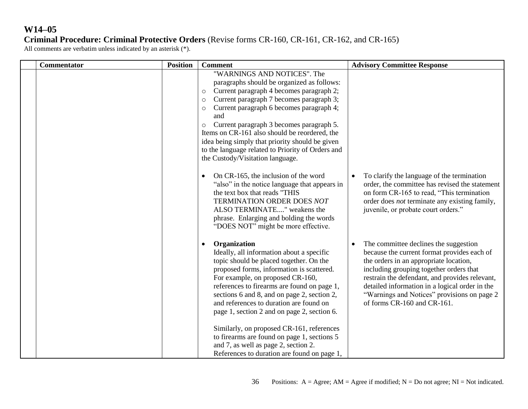### **Criminal Procedure: Criminal Protective Orders** (Revise forms CR-160, CR-161, CR-162, and CR-165)

| <b>Commentator</b> | <b>Position</b> | <b>Comment</b>                                                                                                                                                                                                                                                                                                                                                                                                                                                                                                    | <b>Advisory Committee Response</b>                                                                                                                                                                                                                                                                                                                          |
|--------------------|-----------------|-------------------------------------------------------------------------------------------------------------------------------------------------------------------------------------------------------------------------------------------------------------------------------------------------------------------------------------------------------------------------------------------------------------------------------------------------------------------------------------------------------------------|-------------------------------------------------------------------------------------------------------------------------------------------------------------------------------------------------------------------------------------------------------------------------------------------------------------------------------------------------------------|
|                    |                 | "WARNINGS AND NOTICES". The<br>paragraphs should be organized as follows:<br>Current paragraph 4 becomes paragraph 2;<br>$\circ$<br>Current paragraph 7 becomes paragraph 3;<br>$\circ$<br>Current paragraph 6 becomes paragraph 4;<br>$\circ$<br>and<br>Current paragraph 3 becomes paragraph 5.<br>$\circ$<br>Items on CR-161 also should be reordered, the<br>idea being simply that priority should be given<br>to the language related to Priority of Orders and<br>the Custody/Visitation language.         |                                                                                                                                                                                                                                                                                                                                                             |
|                    |                 | On CR-165, the inclusion of the word<br>"also" in the notice language that appears in<br>the text box that reads "THIS<br>TERMINATION ORDER DOES NOT<br>ALSO TERMINATE" weakens the<br>phrase. Enlarging and bolding the words<br>"DOES NOT" might be more effective.                                                                                                                                                                                                                                             | To clarify the language of the termination<br>order, the committee has revised the statement<br>on form CR-165 to read, "This termination<br>order does <i>not</i> terminate any existing family,<br>juvenile, or probate court orders."                                                                                                                    |
|                    |                 | Organization<br>Ideally, all information about a specific<br>topic should be placed together. On the<br>proposed forms, information is scattered.<br>For example, on proposed CR-160,<br>references to firearms are found on page 1,<br>sections 6 and 8, and on page 2, section 2,<br>and references to duration are found on<br>page 1, section 2 and on page 2, section 6.<br>Similarly, on proposed CR-161, references<br>to firearms are found on page 1, sections 5<br>and 7, as well as page 2, section 2. | The committee declines the suggestion<br>because the current format provides each of<br>the orders in an appropriate location,<br>including grouping together orders that<br>restrain the defendant, and provides relevant,<br>detailed information in a logical order in the<br>"Warnings and Notices" provisions on page 2<br>of forms CR-160 and CR-161. |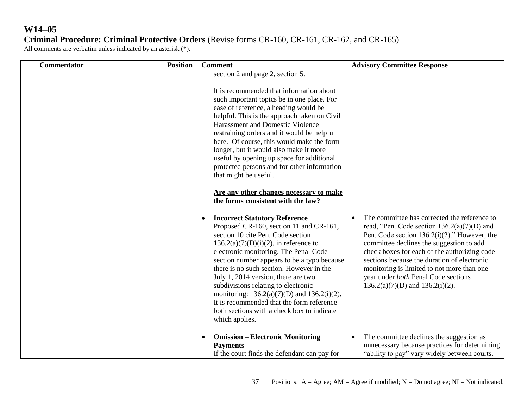# **W14–05 Criminal Procedure: Criminal Protective Orders** (Revise forms CR-160, CR-161, CR-162, and CR-165)

| Commentator | <b>Position</b> | <b>Comment</b>                                                                                                                                                                                                                                                                                                                                                                                                                                                                                                                                                                                                                                                                                                                                                                                                                                                                                                                                                                                                                                                                                                                                                   | <b>Advisory Committee Response</b>                                                                                                                                                                                                                                                                                                                                                                                       |
|-------------|-----------------|------------------------------------------------------------------------------------------------------------------------------------------------------------------------------------------------------------------------------------------------------------------------------------------------------------------------------------------------------------------------------------------------------------------------------------------------------------------------------------------------------------------------------------------------------------------------------------------------------------------------------------------------------------------------------------------------------------------------------------------------------------------------------------------------------------------------------------------------------------------------------------------------------------------------------------------------------------------------------------------------------------------------------------------------------------------------------------------------------------------------------------------------------------------|--------------------------------------------------------------------------------------------------------------------------------------------------------------------------------------------------------------------------------------------------------------------------------------------------------------------------------------------------------------------------------------------------------------------------|
|             |                 | section 2 and page 2, section 5.<br>It is recommended that information about<br>such important topics be in one place. For<br>ease of reference, a heading would be<br>helpful. This is the approach taken on Civil<br><b>Harassment and Domestic Violence</b><br>restraining orders and it would be helpful<br>here. Of course, this would make the form<br>longer, but it would also make it more<br>useful by opening up space for additional<br>protected persons and for other information<br>that might be useful.<br>Are any other changes necessary to make<br>the forms consistent with the law?<br><b>Incorrect Statutory Reference</b><br>Proposed CR-160, section 11 and CR-161,<br>section 10 cite Pen. Code section<br>$136.2(a)(7)(D)(i)(2)$ , in reference to<br>electronic monitoring. The Penal Code<br>section number appears to be a typo because<br>there is no such section. However in the<br>July 1, 2014 version, there are two<br>subdivisions relating to electronic<br>monitoring: $136.2(a)(7)(D)$ and $136.2(i)(2)$ .<br>It is recommended that the form reference<br>both sections with a check box to indicate<br>which applies. | The committee has corrected the reference to<br>read, "Pen. Code section $136.2(a)(7)(D)$ and<br>Pen. Code section $136.2(i)(2)$ ." However, the<br>committee declines the suggestion to add<br>check boxes for each of the authorizing code<br>sections because the duration of electronic<br>monitoring is limited to not more than one<br>year under both Penal Code sections<br>$136.2(a)(7)(D)$ and $136.2(i)(2)$ . |
|             |                 | <b>Omission – Electronic Monitoring</b><br><b>Payments</b><br>If the court finds the defendant can pay for                                                                                                                                                                                                                                                                                                                                                                                                                                                                                                                                                                                                                                                                                                                                                                                                                                                                                                                                                                                                                                                       | The committee declines the suggestion as<br>unnecessary because practices for determining<br>"ability to pay" vary widely between courts.                                                                                                                                                                                                                                                                                |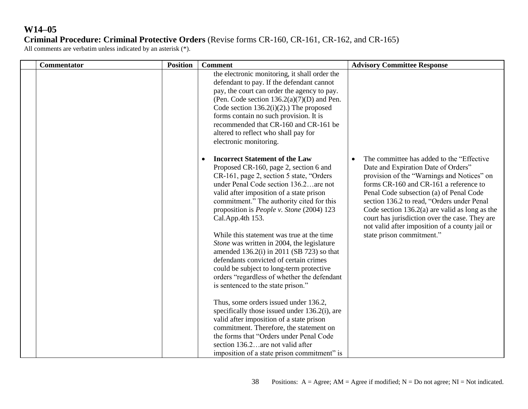## **Criminal Procedure: Criminal Protective Orders** (Revise forms CR-160, CR-161, CR-162, and CR-165)

| Commentator | <b>Position</b> | <b>Comment</b>                                                                                                                                                                                                                                                                                                                                                                                                                                                                                                                                                                                                                                                                                                                                                                                                                                                                                                                                                           | <b>Advisory Committee Response</b>                                                                                                                                                                                                                                                                                                                                                                                                                      |
|-------------|-----------------|--------------------------------------------------------------------------------------------------------------------------------------------------------------------------------------------------------------------------------------------------------------------------------------------------------------------------------------------------------------------------------------------------------------------------------------------------------------------------------------------------------------------------------------------------------------------------------------------------------------------------------------------------------------------------------------------------------------------------------------------------------------------------------------------------------------------------------------------------------------------------------------------------------------------------------------------------------------------------|---------------------------------------------------------------------------------------------------------------------------------------------------------------------------------------------------------------------------------------------------------------------------------------------------------------------------------------------------------------------------------------------------------------------------------------------------------|
|             |                 | the electronic monitoring, it shall order the<br>defendant to pay. If the defendant cannot<br>pay, the court can order the agency to pay.<br>(Pen. Code section $136.2(a)(7)(D)$ and Pen.<br>Code section $136.2(i)(2)$ .) The proposed<br>forms contain no such provision. It is<br>recommended that CR-160 and CR-161 be<br>altered to reflect who shall pay for<br>electronic monitoring.                                                                                                                                                                                                                                                                                                                                                                                                                                                                                                                                                                             |                                                                                                                                                                                                                                                                                                                                                                                                                                                         |
|             |                 | <b>Incorrect Statement of the Law</b><br>Proposed CR-160, page 2, section 6 and<br>CR-161, page 2, section 5 state, "Orders"<br>under Penal Code section 136.2. are not<br>valid after imposition of a state prison<br>commitment." The authority cited for this<br>proposition is People v. Stone (2004) 123<br>Cal.App.4th 153.<br>While this statement was true at the time<br>Stone was written in 2004, the legislature<br>amended $136.2(i)$ in 2011 (SB 723) so that<br>defendants convicted of certain crimes<br>could be subject to long-term protective<br>orders "regardless of whether the defendant<br>is sentenced to the state prison."<br>Thus, some orders issued under 136.2,<br>specifically those issued under 136.2(i), are<br>valid after imposition of a state prison<br>commitment. Therefore, the statement on<br>the forms that "Orders under Penal Code"<br>section 136.2. are not valid after<br>imposition of a state prison commitment" is | The committee has added to the "Effective"<br>Date and Expiration Date of Orders"<br>provision of the "Warnings and Notices" on<br>forms CR-160 and CR-161 a reference to<br>Penal Code subsection (a) of Penal Code<br>section 136.2 to read, "Orders under Penal<br>Code section $136.2(a)$ are valid as long as the<br>court has jurisdiction over the case. They are<br>not valid after imposition of a county jail or<br>state prison commitment." |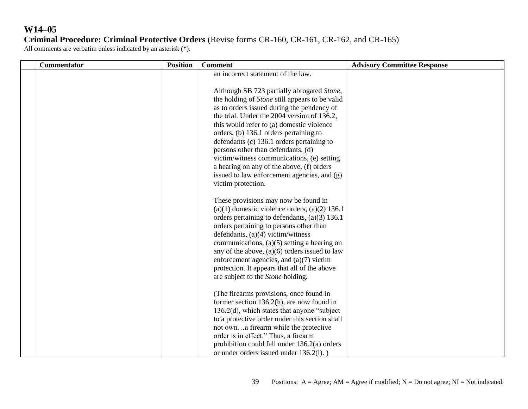# **W14–05 Criminal Procedure: Criminal Protective Orders** (Revise forms CR-160, CR-161, CR-162, and CR-165)

| <b>Commentator</b> | <b>Position</b> | <b>Comment</b>                                                                                                                                                                                                                                                                                                                                                                                                                                                                                                                                                                   | <b>Advisory Committee Response</b> |
|--------------------|-----------------|----------------------------------------------------------------------------------------------------------------------------------------------------------------------------------------------------------------------------------------------------------------------------------------------------------------------------------------------------------------------------------------------------------------------------------------------------------------------------------------------------------------------------------------------------------------------------------|------------------------------------|
|                    |                 | an incorrect statement of the law.<br>Although SB 723 partially abrogated Stone,<br>the holding of <i>Stone</i> still appears to be valid<br>as to orders issued during the pendency of<br>the trial. Under the 2004 version of 136.2,<br>this would refer to (a) domestic violence<br>orders, (b) 136.1 orders pertaining to<br>defendants (c) 136.1 orders pertaining to<br>persons other than defendants, (d)<br>victim/witness communications, (e) setting<br>a hearing on any of the above, (f) orders<br>issued to law enforcement agencies, and (g)<br>victim protection. |                                    |
|                    |                 | These provisions may now be found in<br>$(a)(1)$ domestic violence orders, $(a)(2)$ 136.1<br>orders pertaining to defendants, $(a)(3)$ 136.1<br>orders pertaining to persons other than<br>defendants, $(a)(4)$ victim/witness<br>communications, $(a)(5)$ setting a hearing on<br>any of the above, $(a)(6)$ orders issued to law<br>enforcement agencies, and (a)(7) victim<br>protection. It appears that all of the above<br>are subject to the Stone holding.                                                                                                               |                                    |
|                    |                 | (The firearms provisions, once found in<br>former section $136.2(h)$ , are now found in<br>$136.2(d)$ , which states that anyone "subject"<br>to a protective order under this section shall<br>not owna firearm while the protective<br>order is in effect." Thus, a firearm<br>prohibition could fall under 136.2(a) orders<br>or under orders issued under $136.2(i)$ .)                                                                                                                                                                                                      |                                    |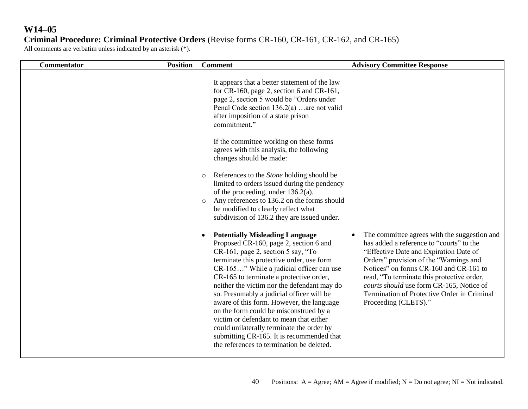# **W14–05 Criminal Procedure: Criminal Protective Orders** (Revise forms CR-160, CR-161, CR-162, and CR-165)

| Commentator | <b>Position</b> | <b>Comment</b>                                                                                                                                                                                                                                                                                                                                                                                                                                                                                                                                                                                                                                                                                                                                                                                                                                                                                                                                                                                                                                                              | <b>Advisory Committee Response</b>                                                                                                                                                                                                                                                                                                                                                      |
|-------------|-----------------|-----------------------------------------------------------------------------------------------------------------------------------------------------------------------------------------------------------------------------------------------------------------------------------------------------------------------------------------------------------------------------------------------------------------------------------------------------------------------------------------------------------------------------------------------------------------------------------------------------------------------------------------------------------------------------------------------------------------------------------------------------------------------------------------------------------------------------------------------------------------------------------------------------------------------------------------------------------------------------------------------------------------------------------------------------------------------------|-----------------------------------------------------------------------------------------------------------------------------------------------------------------------------------------------------------------------------------------------------------------------------------------------------------------------------------------------------------------------------------------|
|             |                 | It appears that a better statement of the law<br>for CR-160, page 2, section 6 and CR-161,<br>page 2, section 5 would be "Orders under<br>Penal Code section 136.2(a)  are not valid<br>after imposition of a state prison<br>commitment."<br>If the committee working on these forms<br>agrees with this analysis, the following<br>changes should be made:<br>References to the <i>Stone</i> holding should be<br>$\circ$<br>limited to orders issued during the pendency<br>of the proceeding, under $136.2(a)$ .<br>Any references to 136.2 on the forms should<br>$\circ$<br>be modified to clearly reflect what<br>subdivision of 136.2 they are issued under.<br><b>Potentially Misleading Language</b><br>Proposed CR-160, page 2, section 6 and<br>CR-161, page 2, section 5 say, "To<br>terminate this protective order, use form<br>CR-165" While a judicial officer can use<br>CR-165 to terminate a protective order,<br>neither the victim nor the defendant may do<br>so. Presumably a judicial officer will be<br>aware of this form. However, the language | The committee agrees with the suggestion and<br>has added a reference to "courts" to the<br>"Effective Date and Expiration Date of<br>Orders" provision of the "Warnings and<br>Notices" on forms CR-160 and CR-161 to<br>read, "To terminate this protective order,<br>courts should use form CR-165, Notice of<br>Termination of Protective Order in Criminal<br>Proceeding (CLETS)." |
|             |                 | on the form could be misconstrued by a<br>victim or defendant to mean that either<br>could unilaterally terminate the order by<br>submitting CR-165. It is recommended that<br>the references to termination be deleted.                                                                                                                                                                                                                                                                                                                                                                                                                                                                                                                                                                                                                                                                                                                                                                                                                                                    |                                                                                                                                                                                                                                                                                                                                                                                         |